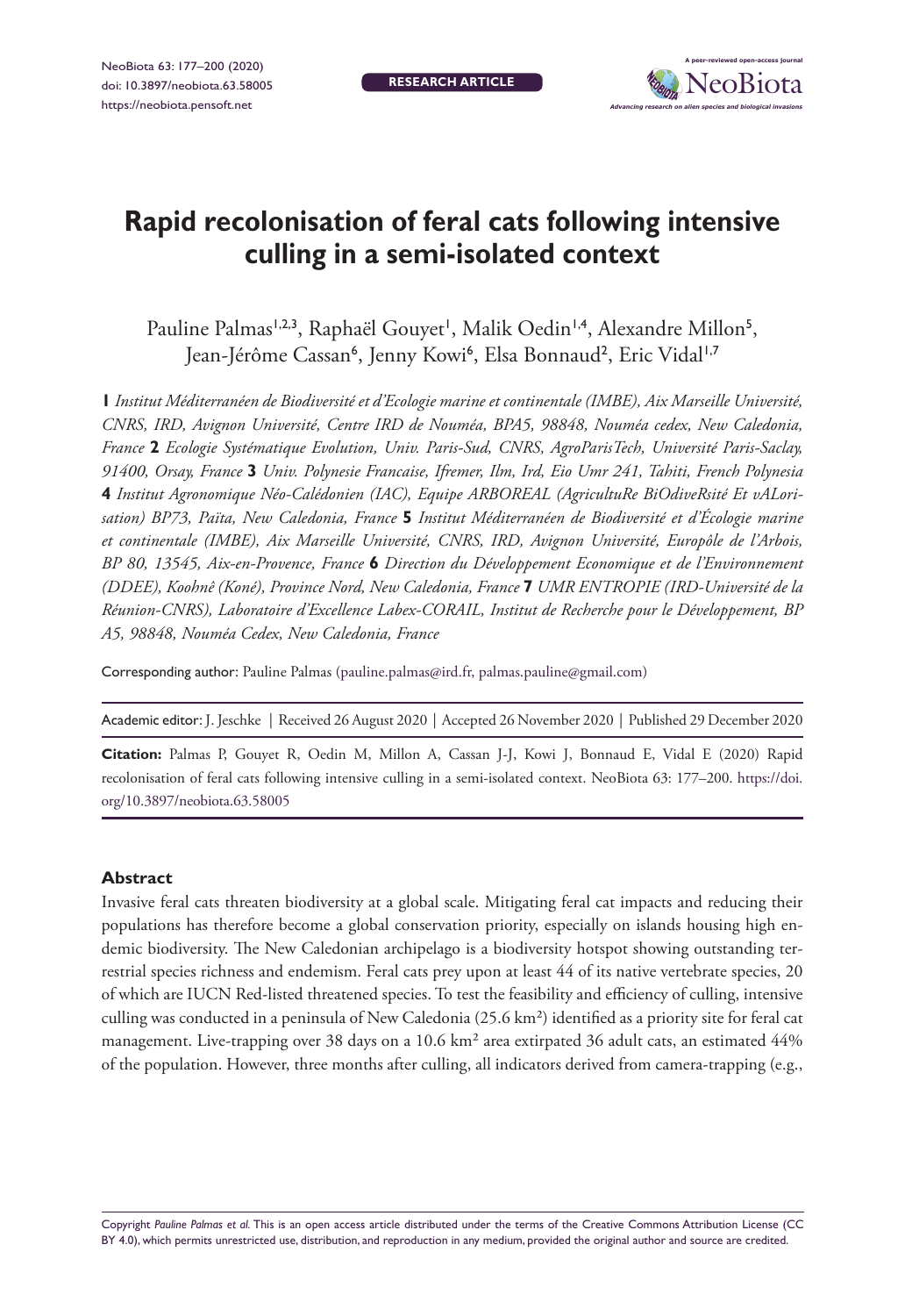

# **Rapid recolonisation of feral cats following intensive culling in a semi-isolated context**

Pauline Palmas<sup>1,2,3</sup>, Raphaël Gouyet', Malik Oedin<sup>1,4</sup>, Alexandre Millon<sup>5</sup>, Jean-Jérôme Cassan<sup>6</sup>, Jenny Kowi<sup>6</sup>, Elsa Bonnaud<sup>2</sup>, Eric Vidal<sup>1,7</sup>

**1** *Institut Méditerranéen de Biodiversité et d'Ecologie marine et continentale (IMBE), Aix Marseille Université, CNRS, IRD, Avignon Université, Centre IRD de Nouméa, BPA5, 98848, Nouméa cedex, New Caledonia, France* **2** *Ecologie Systématique Evolution, Univ. Paris-Sud, CNRS, AgroParisTech, Université Paris-Saclay, 91400, Orsay, France* **3** *Univ. Polynesie Francaise, Ifremer, Ilm, Ird, Eio Umr 241, Tahiti, French Polynesia*  **4** *Institut Agronomique Néo-Calédonien (IAC), Equipe ARBOREAL (AgricultuRe BiOdiveRsité Et vALorisation) BP73, Païta, New Caledonia, France* **5** *Institut Méditerranéen de Biodiversité et d'Écologie marine et continentale (IMBE), Aix Marseille Université, CNRS, IRD, Avignon Université, Europôle de l'Arbois, BP 80, 13545, Aix-en-Provence, France* **6** *Direction du Développement Economique et de l'Environnement (DDEE), Koohnê (Koné), Province Nord, New Caledonia, France* **7** *UMR ENTROPIE (IRD-Université de la Réunion-CNRS), Laboratoire d'Excellence Labex-CORAIL, Institut de Recherche pour le Développement, BP A5, 98848, Nouméa Cedex, New Caledonia, France*

Corresponding author: Pauline Palmas [\(pauline.palmas@ird.fr,](mailto:pauline.palmas@ird.fr) [palmas.pauline@gmail.com](mailto:palmas.pauline@gmail.com))

Academic editor: J. Jeschke | Received 26 August 2020 | Accepted 26 November 2020 | Published 29 December 2020

**Citation:** Palmas P, Gouyet R, Oedin M, Millon A, Cassan J-J, Kowi J, Bonnaud E, Vidal E (2020) Rapid recolonisation of feral cats following intensive culling in a semi-isolated context. NeoBiota 63: 177–200. [https://doi.](https://doi.org/10.3897/neobiota.63.58005) [org/10.3897/neobiota.63.58005](https://doi.org/10.3897/neobiota.63.58005)

#### **Abstract**

Invasive feral cats threaten biodiversity at a global scale. Mitigating feral cat impacts and reducing their populations has therefore become a global conservation priority, especially on islands housing high endemic biodiversity. The New Caledonian archipelago is a biodiversity hotspot showing outstanding terrestrial species richness and endemism. Feral cats prey upon at least 44 of its native vertebrate species, 20 of which are IUCN Red-listed threatened species. To test the feasibility and efficiency of culling, intensive culling was conducted in a peninsula of New Caledonia (25.6 km²) identified as a priority site for feral cat management. Live-trapping over 38 days on a 10.6 km² area extirpated 36 adult cats, an estimated 44% of the population. However, three months after culling, all indicators derived from camera-trapping (e.g.,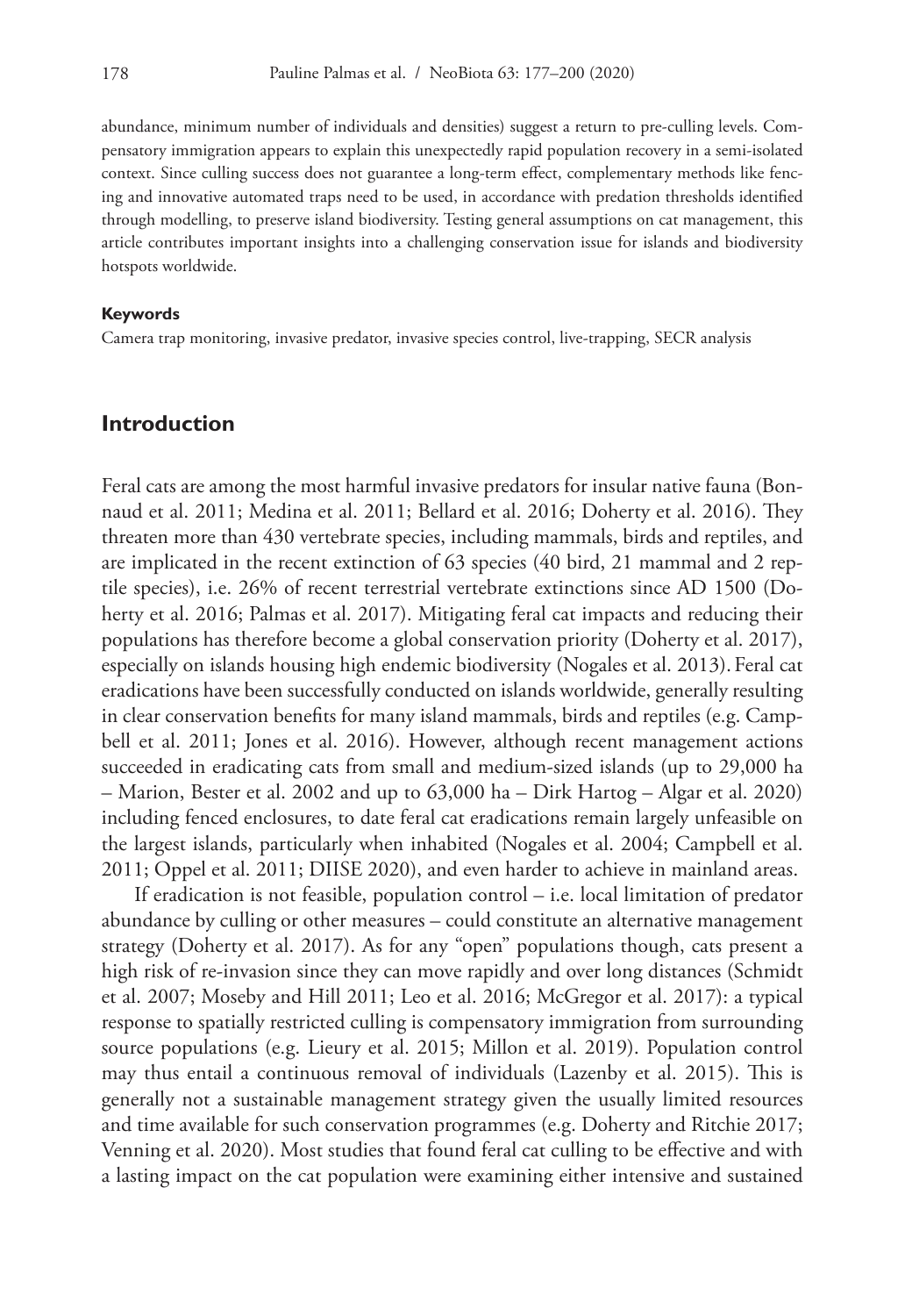abundance, minimum number of individuals and densities) suggest a return to pre-culling levels. Compensatory immigration appears to explain this unexpectedly rapid population recovery in a semi-isolated context. Since culling success does not guarantee a long-term effect, complementary methods like fencing and innovative automated traps need to be used, in accordance with predation thresholds identified through modelling, to preserve island biodiversity. Testing general assumptions on cat management, this article contributes important insights into a challenging conservation issue for islands and biodiversity hotspots worldwide.

#### **Keywords**

Camera trap monitoring, invasive predator, invasive species control, live-trapping, SECR analysis

#### **Introduction**

Feral cats are among the most harmful invasive predators for insular native fauna (Bonnaud et al. 2011; Medina et al. 2011; Bellard et al. 2016; Doherty et al. 2016). They threaten more than 430 vertebrate species, including mammals, birds and reptiles, and are implicated in the recent extinction of 63 species (40 bird, 21 mammal and 2 reptile species), i.e. 26% of recent terrestrial vertebrate extinctions since AD 1500 (Doherty et al. 2016; Palmas et al. 2017). Mitigating feral cat impacts and reducing their populations has therefore become a global conservation priority (Doherty et al. 2017), especially on islands housing high endemic biodiversity (Nogales et al. 2013). Feral cat eradications have been successfully conducted on islands worldwide, generally resulting in clear conservation benefits for many island mammals, birds and reptiles (e.g. Campbell et al. 2011; Jones et al. 2016). However, although recent management actions succeeded in eradicating cats from small and medium-sized islands (up to 29,000 ha – Marion, Bester et al. 2002 and up to 63,000 ha – Dirk Hartog – Algar et al. 2020) including fenced enclosures, to date feral cat eradications remain largely unfeasible on the largest islands, particularly when inhabited (Nogales et al. 2004; Campbell et al. 2011; Oppel et al. 2011; DIISE 2020), and even harder to achieve in mainland areas.

If eradication is not feasible, population control – i.e. local limitation of predator abundance by culling or other measures – could constitute an alternative management strategy (Doherty et al. 2017). As for any "open" populations though, cats present a high risk of re-invasion since they can move rapidly and over long distances (Schmidt et al. 2007; Moseby and Hill 2011; Leo et al. 2016; McGregor et al. 2017): a typical response to spatially restricted culling is compensatory immigration from surrounding source populations (e.g. Lieury et al. 2015; Millon et al. 2019). Population control may thus entail a continuous removal of individuals (Lazenby et al. 2015). This is generally not a sustainable management strategy given the usually limited resources and time available for such conservation programmes (e.g. Doherty and Ritchie 2017; Venning et al. 2020). Most studies that found feral cat culling to be effective and with a lasting impact on the cat population were examining either intensive and sustained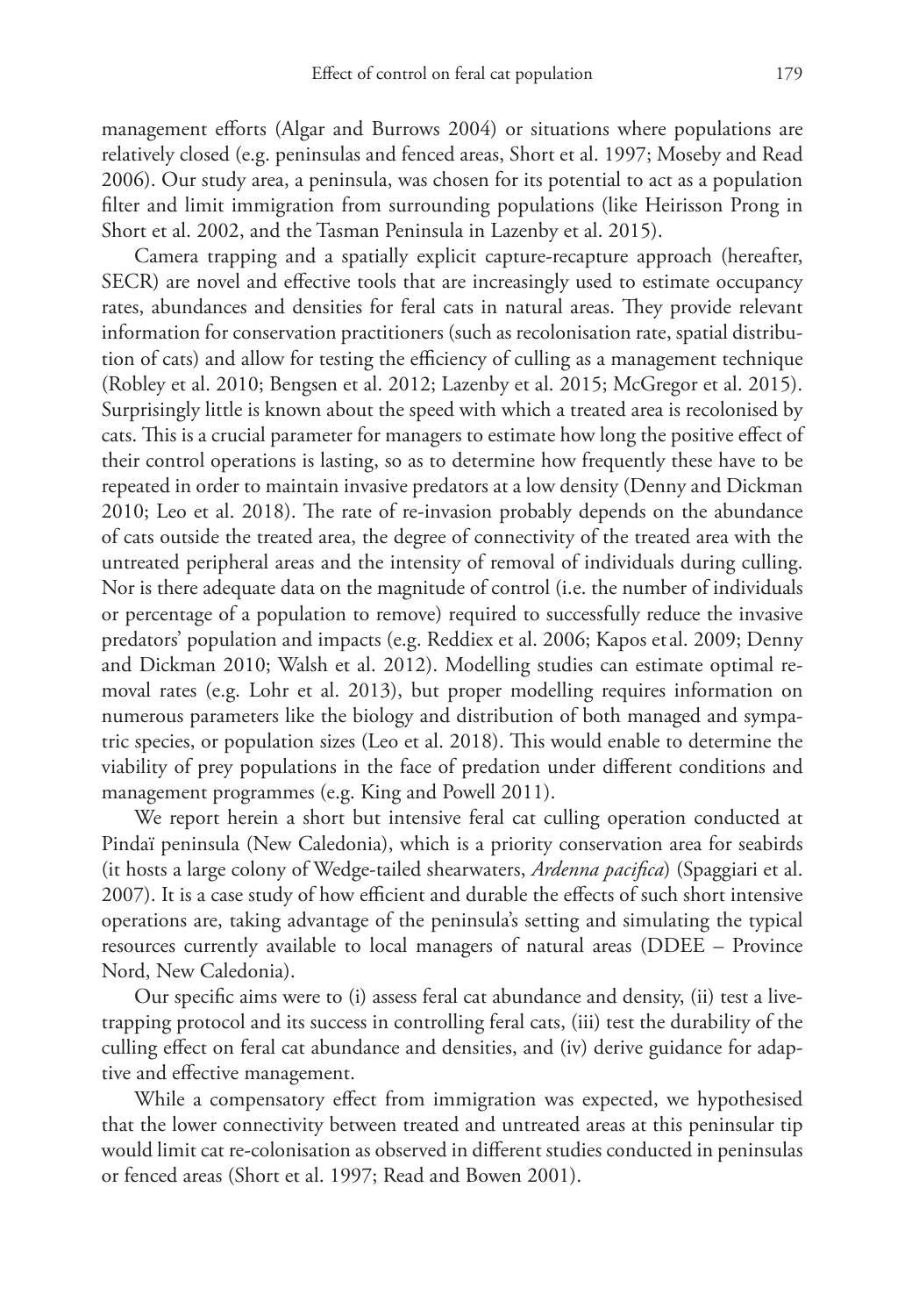management efforts (Algar and Burrows 2004) or situations where populations are relatively closed (e.g. peninsulas and fenced areas, Short et al. 1997; Moseby and Read 2006). Our study area, a peninsula, was chosen for its potential to act as a population filter and limit immigration from surrounding populations (like Heirisson Prong in Short et al. 2002, and the Tasman Peninsula in Lazenby et al. 2015).

Camera trapping and a spatially explicit capture-recapture approach (hereafter, SECR) are novel and effective tools that are increasingly used to estimate occupancy rates, abundances and densities for feral cats in natural areas. They provide relevant information for conservation practitioners (such as recolonisation rate, spatial distribution of cats) and allow for testing the efficiency of culling as a management technique (Robley et al. 2010; Bengsen et al. 2012; Lazenby et al. 2015; McGregor et al. 2015). Surprisingly little is known about the speed with which a treated area is recolonised by cats. This is a crucial parameter for managers to estimate how long the positive effect of their control operations is lasting, so as to determine how frequently these have to be repeated in order to maintain invasive predators at a low density (Denny and Dickman 2010; Leo et al. 2018). The rate of re-invasion probably depends on the abundance of cats outside the treated area, the degree of connectivity of the treated area with the untreated peripheral areas and the intensity of removal of individuals during culling. Nor is there adequate data on the magnitude of control (i.e. the number of individuals or percentage of a population to remove) required to successfully reduce the invasive predators' population and impacts (e.g. Reddiex et al. 2006; Kapos et al. 2009; Denny and Dickman 2010; Walsh et al. 2012). Modelling studies can estimate optimal removal rates (e.g. Lohr et al. 2013), but proper modelling requires information on numerous parameters like the biology and distribution of both managed and sympatric species, or population sizes (Leo et al. 2018). This would enable to determine the viability of prey populations in the face of predation under different conditions and management programmes (e.g. King and Powell 2011).

We report herein a short but intensive feral cat culling operation conducted at Pindaï peninsula (New Caledonia), which is a priority conservation area for seabirds (it hosts a large colony of Wedge-tailed shearwaters, *Ardenna pacifica*) (Spaggiari et al. 2007). It is a case study of how efficient and durable the effects of such short intensive operations are, taking advantage of the peninsula's setting and simulating the typical resources currently available to local managers of natural areas (DDEE – Province Nord, New Caledonia).

Our specific aims were to (i) assess feral cat abundance and density, (ii) test a livetrapping protocol and its success in controlling feral cats, (iii) test the durability of the culling effect on feral cat abundance and densities, and (iv) derive guidance for adaptive and effective management.

While a compensatory effect from immigration was expected, we hypothesised that the lower connectivity between treated and untreated areas at this peninsular tip would limit cat re-colonisation as observed in different studies conducted in peninsulas or fenced areas (Short et al. 1997; Read and Bowen 2001).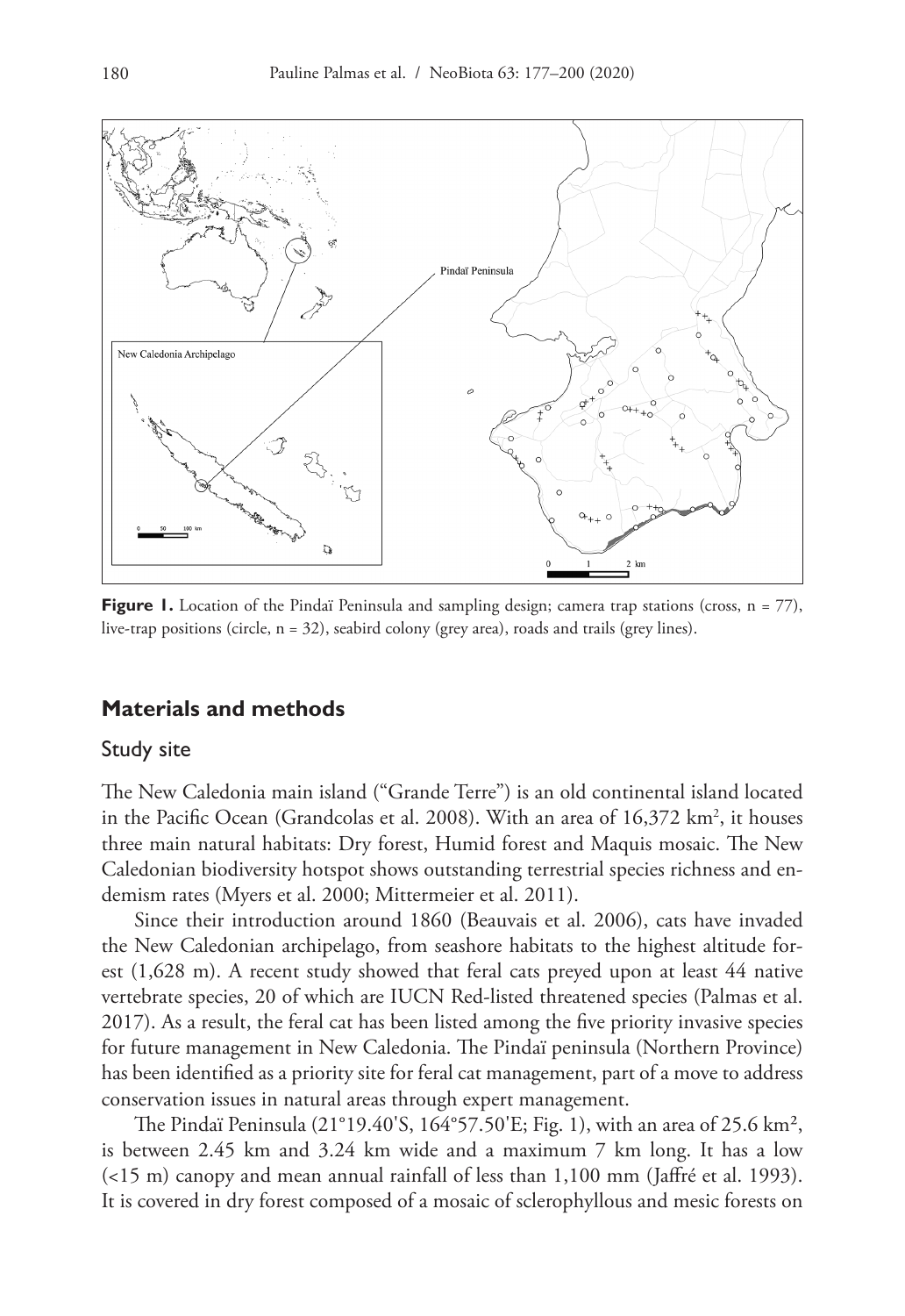

**Figure 1.** Location of the Pindaï Peninsula and sampling design; camera trap stations (cross, n = 77), live-trap positions (circle, n = 32), seabird colony (grey area), roads and trails (grey lines).

### **Materials and methods**

#### Study site

The New Caledonia main island ("Grande Terre") is an old continental island located in the Pacific Ocean (Grandcolas et al. 2008). With an area of 16,372 km<sup>2</sup>, it houses three main natural habitats: Dry forest, Humid forest and Maquis mosaic. The New Caledonian biodiversity hotspot shows outstanding terrestrial species richness and endemism rates (Myers et al. 2000; Mittermeier et al. 2011).

Since their introduction around 1860 (Beauvais et al. 2006), cats have invaded the New Caledonian archipelago, from seashore habitats to the highest altitude forest (1,628 m). A recent study showed that feral cats preyed upon at least 44 native vertebrate species, 20 of which are IUCN Red-listed threatened species (Palmas et al. 2017). As a result, the feral cat has been listed among the five priority invasive species for future management in New Caledonia. The Pindaï peninsula (Northern Province) has been identified as a priority site for feral cat management, part of a move to address conservation issues in natural areas through expert management.

The Pindaï Peninsula (21°19.40'S, 164°57.50'E; Fig. 1), with an area of 25.6 km², is between 2.45 km and 3.24 km wide and a maximum 7 km long. It has a low (<15 m) canopy and mean annual rainfall of less than 1,100 mm (Jaffré et al. 1993). It is covered in dry forest composed of a mosaic of sclerophyllous and mesic forests on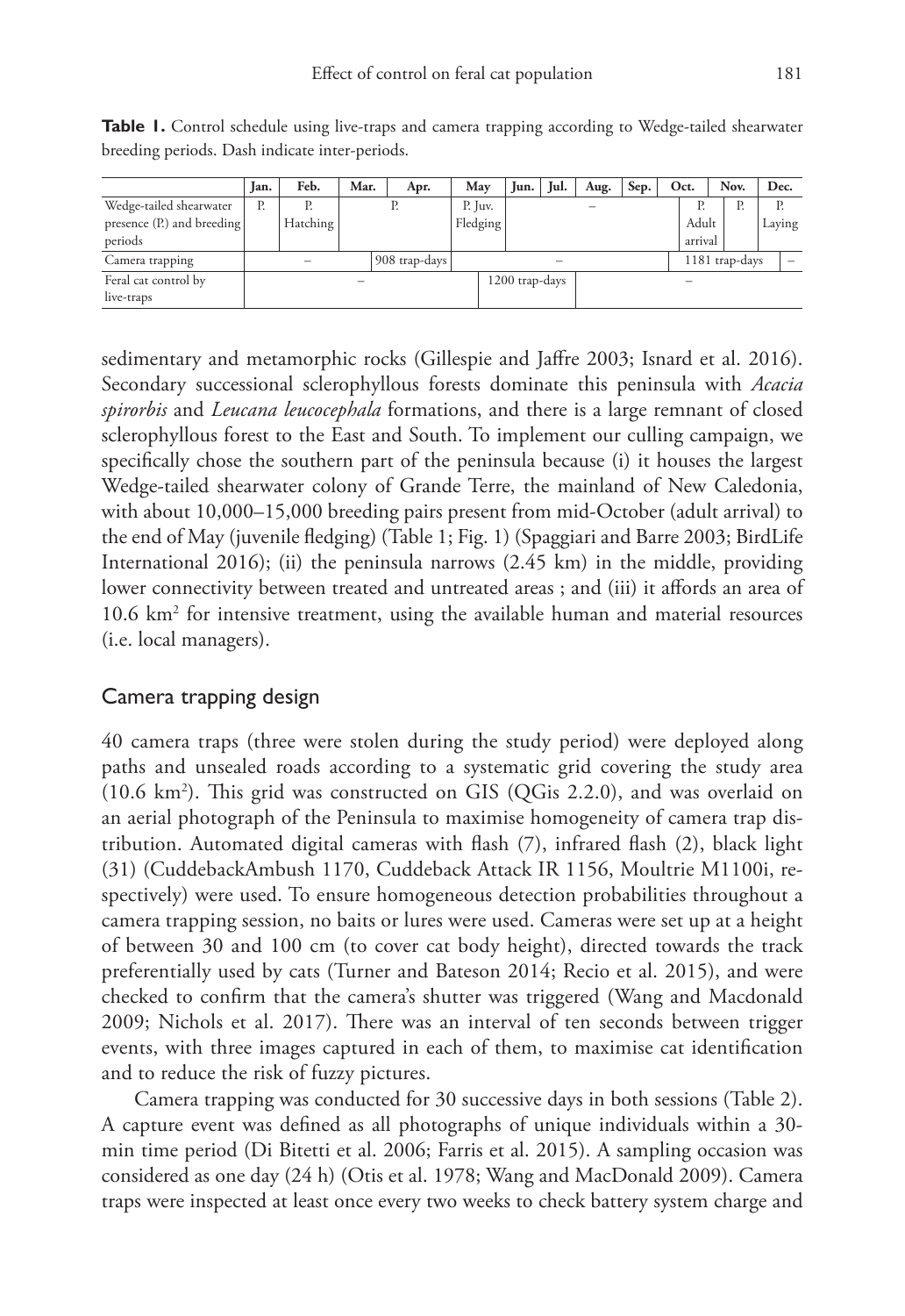|                            | Ian. | Feb.     | Mar. | Apr.          | May      | Jun.           | Jul. | Aug. | Sep. | Oct.    | Nov.           | Dec. |        |
|----------------------------|------|----------|------|---------------|----------|----------------|------|------|------|---------|----------------|------|--------|
| Wedge-tailed shearwater    | Р.   |          |      |               | P. Juv.  |                |      |      |      | Р.      | Р.             |      | Р.     |
| presence (P.) and breeding |      | Hatching |      |               | Fledging |                |      |      |      | Adult   |                |      | Laying |
| periods                    |      |          |      |               |          |                |      |      |      | arrival |                |      |        |
| Camera trapping            |      |          |      | 908 trap-days |          |                |      |      |      |         | 1181 trap-days |      |        |
| Feral cat control by       |      |          |      |               |          | 1200 trap-days |      |      |      |         |                |      |        |
| live-traps                 |      |          |      |               |          |                |      |      |      |         |                |      |        |

**Table 1.** Control schedule using live-traps and camera trapping according to Wedge-tailed shearwater breeding periods. Dash indicate inter-periods.

sedimentary and metamorphic rocks (Gillespie and Jaffre 2003; Isnard et al. 2016). Secondary successional sclerophyllous forests dominate this peninsula with *Acacia spirorbis* and *Leucana leucocephala* formations, and there is a large remnant of closed sclerophyllous forest to the East and South. To implement our culling campaign, we specifically chose the southern part of the peninsula because (i) it houses the largest Wedge-tailed shearwater colony of Grande Terre, the mainland of New Caledonia, with about 10,000–15,000 breeding pairs present from mid-October (adult arrival) to the end of May (juvenile fledging) (Table 1; Fig. 1) (Spaggiari and Barre 2003; BirdLife International 2016); (ii) the peninsula narrows  $(2.45 \text{ km})$  in the middle, providing lower connectivity between treated and untreated areas ; and (iii) it affords an area of 10.6 km2 for intensive treatment, using the available human and material resources (i.e. local managers).

### Camera trapping design

40 camera traps (three were stolen during the study period) were deployed along paths and unsealed roads according to a systematic grid covering the study area (10.6 km2 ). This grid was constructed on GIS (QGis 2.2.0), and was overlaid on an aerial photograph of the Peninsula to maximise homogeneity of camera trap distribution. Automated digital cameras with flash (7), infrared flash (2), black light (31) (CuddebackAmbush 1170, Cuddeback Attack IR 1156, Moultrie M1100i, respectively) were used. To ensure homogeneous detection probabilities throughout a camera trapping session, no baits or lures were used. Cameras were set up at a height of between 30 and 100 cm (to cover cat body height), directed towards the track preferentially used by cats (Turner and Bateson 2014; Recio et al. 2015), and were checked to confirm that the camera's shutter was triggered (Wang and Macdonald 2009; Nichols et al. 2017). There was an interval of ten seconds between trigger events, with three images captured in each of them, to maximise cat identification and to reduce the risk of fuzzy pictures.

Camera trapping was conducted for 30 successive days in both sessions (Table 2). A capture event was defined as all photographs of unique individuals within a 30 min time period (Di Bitetti et al. 2006; Farris et al. 2015). A sampling occasion was considered as one day (24 h) (Otis et al. 1978; Wang and MacDonald 2009). Camera traps were inspected at least once every two weeks to check battery system charge and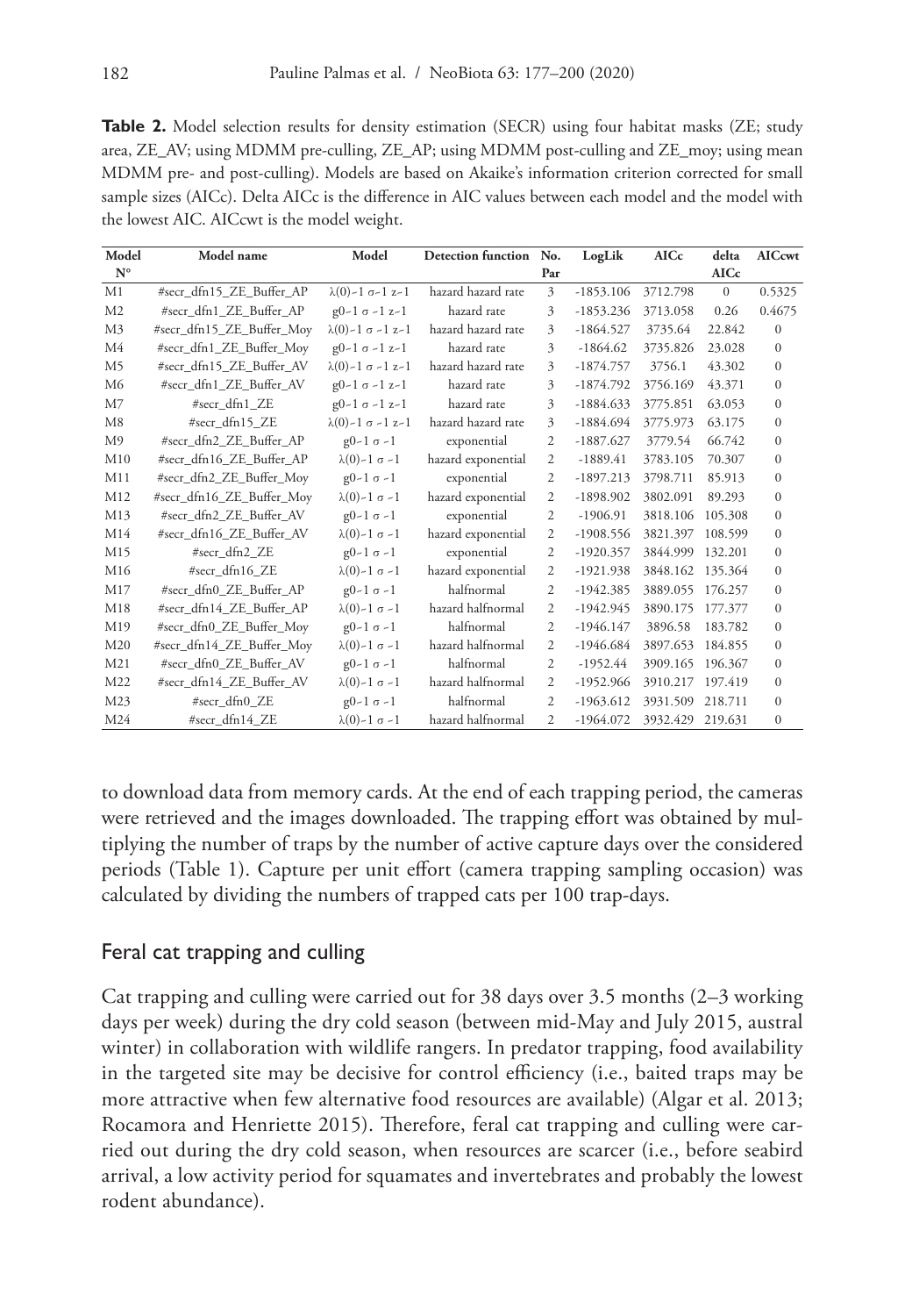**Table 2.** Model selection results for density estimation (SECR) using four habitat masks (ZE; study area, ZE\_AV; using MDMM pre-culling, ZE\_AP; using MDMM post-culling and ZE\_moy; using mean MDMM pre- and post-culling). Models are based on Akaike's information criterion corrected for small sample sizes (AICc). Delta AICc is the difference in AIC values between each model and the model with the lowest AIC. AICcwt is the model weight.

| Model           | Model name                | Model<br>Detection function No.   |                    |                | LogLik      | <b>AICc</b>      | delta        | <b>AICcwt</b> |
|-----------------|---------------------------|-----------------------------------|--------------------|----------------|-------------|------------------|--------------|---------------|
| $N^{\circ}$     |                           |                                   |                    | Par            |             |                  | <b>AICc</b>  |               |
| M1              | #secr_dfn15_ZE_Buffer_AP  | $\lambda(0)$ -1 $\sigma$ -1 z-1   | hazard hazard rate | 3              | $-1853.106$ | 3712.798         | $\mathbf{0}$ | 0.5325        |
| M <sub>2</sub>  | #secr dfn1 ZE Buffer AP   | $g0-1$ $\sigma$ -1 $z-1$          | hazard rate        | 3              | $-1853.236$ | 3713.058         | 0.26         | 0.4675        |
| M <sub>3</sub>  | #secr_dfn15_ZE_Buffer_Moy | $\lambda(0)$ -1 $\sigma$ -1 z-1   | hazard hazard rate | 3              | $-1864.527$ | 3735.64          | 22.842       | $\mathbf{0}$  |
| M <sub>4</sub>  | #secr_dfn1_ZE_Buffer_Moy  | $g0-1 \sigma -1 z-1$              | hazard rate        | 3              | $-1864.62$  | 3735.826         | 23.028       | $\mathbf{0}$  |
| M <sub>5</sub>  | #secr_dfn15_ZE_Buffer_AV  | $\lambda(0)$ -1 $\sigma$ -1 z-1   | hazard hazard rate | 3              | $-1874.757$ | 3756.1           | 43.302       | $\mathbf{0}$  |
| M <sub>6</sub>  | #secr_dfn1_ZE_Buffer_AV   | $g0-1$ $\sigma$ -1 $z-1$          | hazard rate        | 3              | $-1874.792$ | 3756.169         | 43.371       | $\mathbf{0}$  |
| M <sub>7</sub>  | #secr dfn1 ZE             | $g0-1 \sigma -1 z-1$              | hazard rate        | 3              | $-1884.633$ | 3775.851         | 63.053       | $\mathbf{0}$  |
| M8              | #secr_dfn15_ZE            | $\lambda(0) - 1 \sigma - 1 z - 1$ | hazard hazard rate | 3              | $-1884.694$ | 3775.973         | 63.175       | $\mathbf{0}$  |
| M <sub>9</sub>  | #secr_dfn2_ZE_Buffer_AP   | $g0-1 \sigma -1$                  | exponential        | $\overline{c}$ | $-1887.627$ | 3779.54          | 66.742       | $\mathbf{0}$  |
| M10             | #secr_dfn16_ZE_Buffer_AP  | $\lambda(0)$ -1 $\sigma$ -1       | hazard exponential | $\overline{c}$ | $-1889.41$  | 3783.105         | 70.307       | $\mathbf{0}$  |
| M11             | #secr_dfn2_ZE_Buffer_Moy  | $g0-1 \sigma -1$                  | exponential        | 2              | $-1897.213$ | 3798.711         | 85.913       | $\mathbf{0}$  |
| M12             | #secr_dfn16_ZE_Buffer_Moy | $\lambda(0)$ -1 $\sigma$ -1       | hazard exponential | 2              | $-1898.902$ | 3802.091         | 89.293       | $\mathbf{0}$  |
| M13             | #secr_dfn2_ZE_Buffer_AV   | $g0-1 \sigma -1$                  | exponential        | $\overline{2}$ | $-1906.91$  | 3818.106         | 105.308      | $\mathbf{0}$  |
| M14             | #secr_dfn16_ZE_Buffer_AV  | $\lambda(0)$ -1 $\sigma$ -1       | hazard exponential | 2              | $-1908.556$ | 3821.397         | 108.599      | $\mathbf{0}$  |
| M15             | #secr_dfn2_ZE             | $g0-1 \sigma -1$                  | exponential        | $\mathfrak{2}$ | $-1920.357$ | 3844.999         | 132.201      | $\mathbf{0}$  |
| M16             | #secr_dfn16_ZE            | $\lambda(0)$ -1 $\sigma$ -1       | hazard exponential | $\overline{c}$ | $-1921.938$ | 3848.162 135.364 |              | $\mathbf{0}$  |
| M17             | #secr dfn0 ZE Buffer AP   | $g0-1 \sigma -1$                  | halfnormal         | 2              | $-1942.385$ | 3889.055         | 176.257      | $\mathbf{0}$  |
| M18             | #secr_dfn14_ZE_Buffer_AP  | $\lambda(0)$ -1 $\sigma$ -1       | hazard halfnormal  | 2              | $-1942.945$ | 3890.175         | 177,377      | $\mathbf{0}$  |
| M19             | #secr_dfn0_ZE_Buffer_Moy  | $g0-1 \sigma -1$                  | halfnormal         | 2              | $-1946.147$ | 3896.58          | 183.782      | $\mathbf{0}$  |
| M20             | #secr_dfn14_ZE_Buffer_Moy | $\lambda(0)$ -1 $\sigma$ -1       | hazard halfnormal  | 2              | $-1946.684$ | 3897.653         | 184.855      | $\mathbf{0}$  |
| M <sub>21</sub> | #secr_dfn0_ZE_Buffer_AV   | $g0-1 \sigma -1$                  | halfnormal         | 2              | $-1952.44$  | 3909.165         | 196.367      | $\mathbf{0}$  |
| M22             | #secr_dfn14_ZE_Buffer_AV  | $\lambda(0)$ -1 $\sigma$ -1       | hazard halfnormal  | $\overline{c}$ | $-1952.966$ | 3910.217 197.419 |              | $\mathbf{0}$  |
| M23             | #secr_dfn0_ZE             | $g0-1 \sigma -1$                  | halfnormal         | 2              | $-1963.612$ | 3931.509         | 218.711      | $\mathbf{0}$  |
| M24             | #secr_dfn14_ZE            | $\lambda(0)$ -1 $\sigma$ -1       | hazard halfnormal  | 2              | $-1964.072$ | 3932.429 219.631 |              | $\mathbf{0}$  |

to download data from memory cards. At the end of each trapping period, the cameras were retrieved and the images downloaded. The trapping effort was obtained by multiplying the number of traps by the number of active capture days over the considered periods (Table 1). Capture per unit effort (camera trapping sampling occasion) was calculated by dividing the numbers of trapped cats per 100 trap-days.

## Feral cat trapping and culling

Cat trapping and culling were carried out for 38 days over 3.5 months (2–3 working days per week) during the dry cold season (between mid-May and July 2015, austral winter) in collaboration with wildlife rangers. In predator trapping, food availability in the targeted site may be decisive for control efficiency (i.e., baited traps may be more attractive when few alternative food resources are available) (Algar et al. 2013; Rocamora and Henriette 2015). Therefore, feral cat trapping and culling were carried out during the dry cold season, when resources are scarcer (i.e., before seabird arrival, a low activity period for squamates and invertebrates and probably the lowest rodent abundance).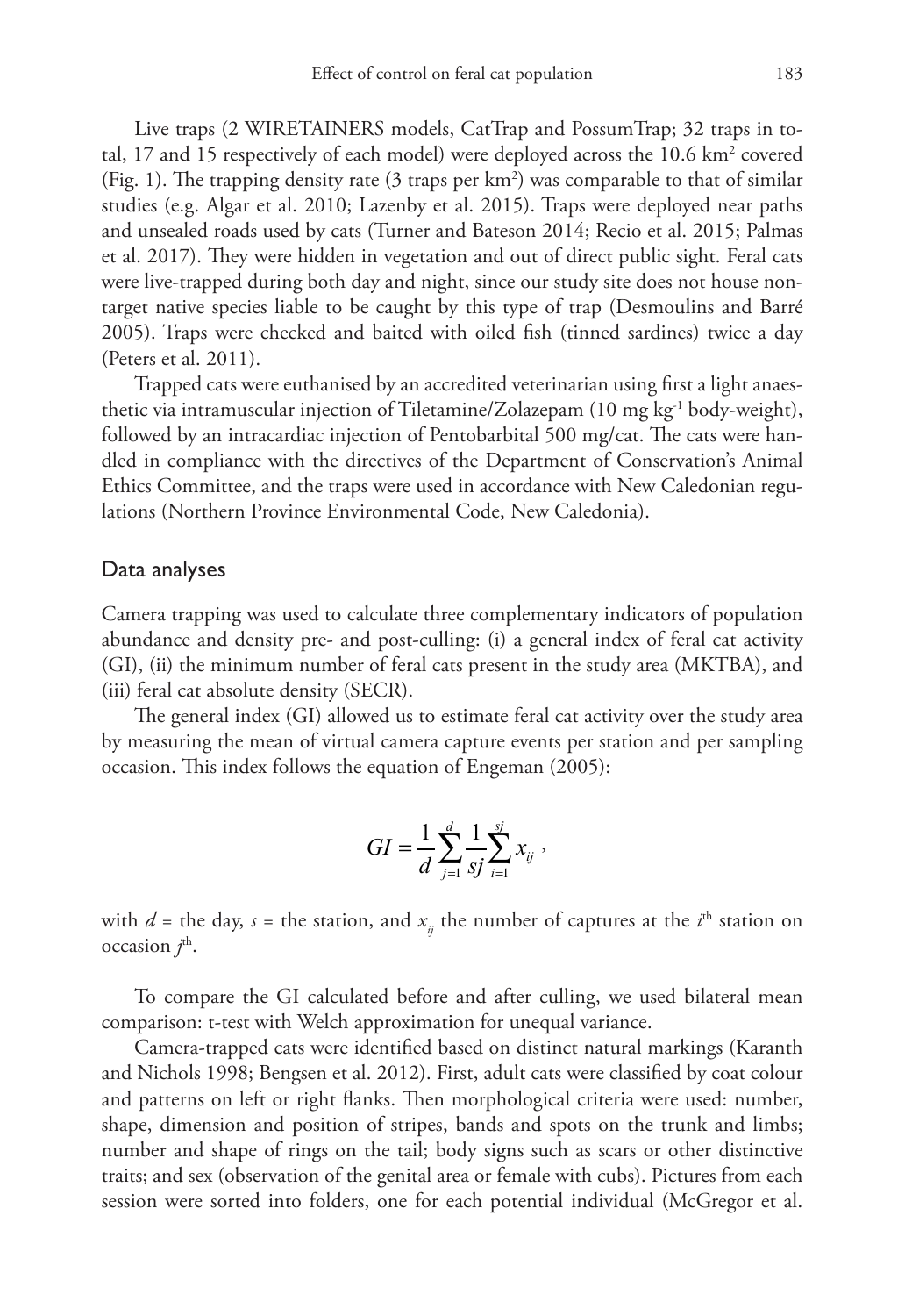Live traps (2 WIRETAINERS models, CatTrap and PossumTrap; 32 traps in total, 17 and 15 respectively of each model) were deployed across the 10.6 km<sup>2</sup> covered (Fig. 1). The trapping density rate (3 traps per  $km^2$ ) was comparable to that of similar studies (e.g. Algar et al. 2010; Lazenby et al. 2015). Traps were deployed near paths and unsealed roads used by cats (Turner and Bateson 2014; Recio et al. 2015; Palmas et al. 2017). They were hidden in vegetation and out of direct public sight. Feral cats were live-trapped during both day and night, since our study site does not house nontarget native species liable to be caught by this type of trap (Desmoulins and Barré 2005). Traps were checked and baited with oiled fish (tinned sardines) twice a day (Peters et al. 2011).

Trapped cats were euthanised by an accredited veterinarian using first a light anaesthetic via intramuscular injection of Tiletamine/Zolazepam (10 mg kg-1 body-weight), followed by an intracardiac injection of Pentobarbital 500 mg/cat. The cats were handled in compliance with the directives of the Department of Conservation's Animal Ethics Committee, and the traps were used in accordance with New Caledonian regulations (Northern Province Environmental Code, New Caledonia).

#### Data analyses

Camera trapping was used to calculate three complementary indicators of population abundance and density pre- and post-culling: (i) a general index of feral cat activity (GI), (ii) the minimum number of feral cats present in the study area (MKTBA), and (iii) feral cat absolute density (SECR).

The general index (GI) allowed us to estimate feral cat activity over the study area by measuring the mean of virtual camera capture events per station and per sampling occasion. This index follows the equation of Engeman (2005):

$$
GI = \frac{1}{d} \sum_{j=1}^{d} \frac{1}{sj} \sum_{i=1}^{sj} x_{ij} ,
$$

with  $d$  = the day,  $s$  = the station, and  $x_{ij}$  the number of captures at the  $i^{\text{th}}$  station on occasion  $j^{\text{th}}$ .

To compare the GI calculated before and after culling, we used bilateral mean comparison: t-test with Welch approximation for unequal variance.

Camera-trapped cats were identified based on distinct natural markings (Karanth and Nichols 1998; Bengsen et al. 2012). First, adult cats were classified by coat colour and patterns on left or right flanks. Then morphological criteria were used: number, shape, dimension and position of stripes, bands and spots on the trunk and limbs; number and shape of rings on the tail; body signs such as scars or other distinctive traits; and sex (observation of the genital area or female with cubs). Pictures from each session were sorted into folders, one for each potential individual (McGregor et al.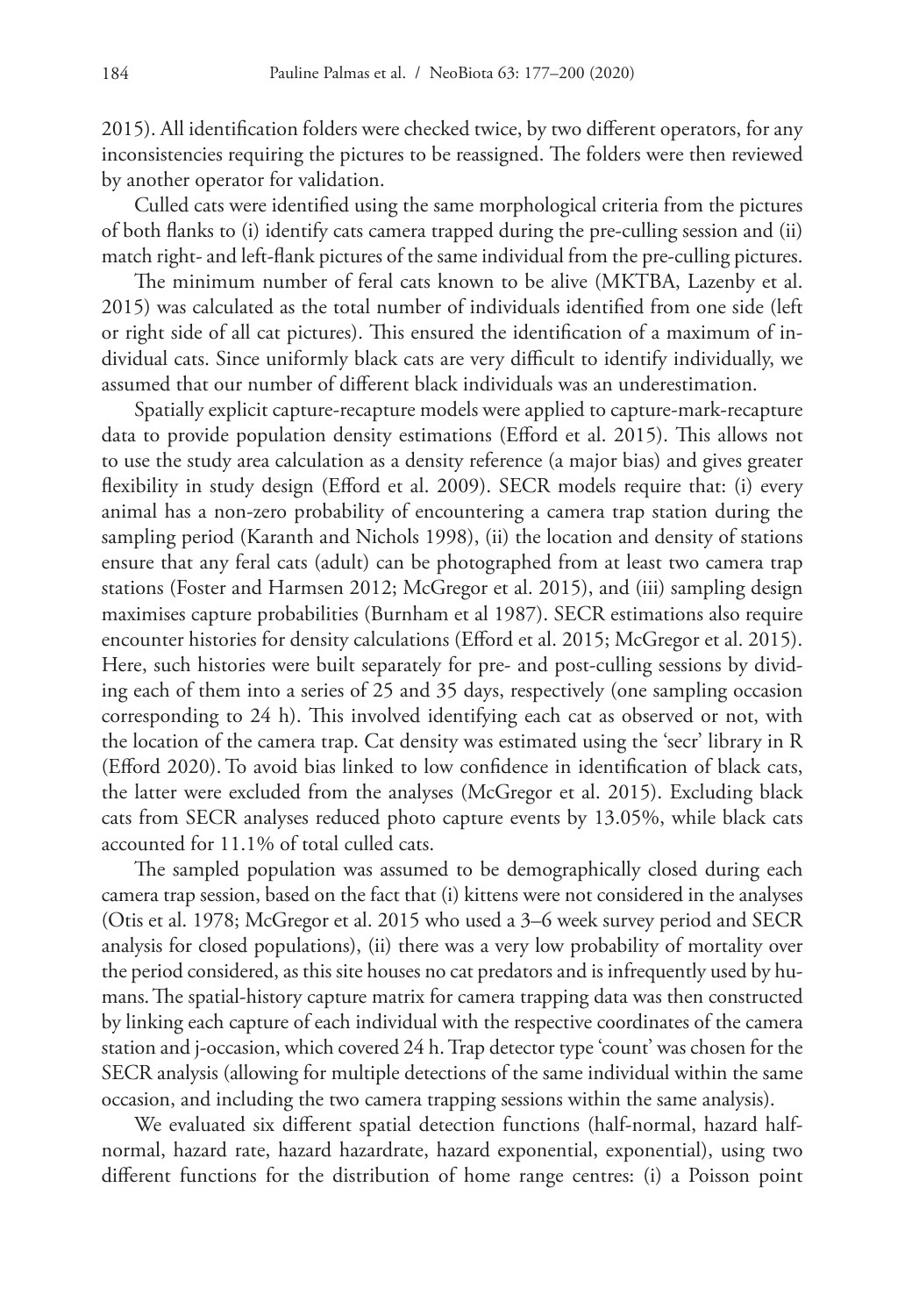2015). All identification folders were checked twice, by two different operators, for any inconsistencies requiring the pictures to be reassigned. The folders were then reviewed by another operator for validation.

Culled cats were identified using the same morphological criteria from the pictures of both flanks to (i) identify cats camera trapped during the pre-culling session and (ii) match right- and left-flank pictures of the same individual from the pre-culling pictures.

The minimum number of feral cats known to be alive (MKTBA, Lazenby et al. 2015) was calculated as the total number of individuals identified from one side (left or right side of all cat pictures). This ensured the identification of a maximum of individual cats. Since uniformly black cats are very difficult to identify individually, we assumed that our number of different black individuals was an underestimation.

Spatially explicit capture-recapture models were applied to capture-mark-recapture data to provide population density estimations (Efford et al. 2015). This allows not to use the study area calculation as a density reference (a major bias) and gives greater flexibility in study design (Efford et al. 2009). SECR models require that: (i) every animal has a non-zero probability of encountering a camera trap station during the sampling period (Karanth and Nichols 1998), (ii) the location and density of stations ensure that any feral cats (adult) can be photographed from at least two camera trap stations (Foster and Harmsen 2012; McGregor et al. 2015), and (iii) sampling design maximises capture probabilities (Burnham et al 1987). SECR estimations also require encounter histories for density calculations (Efford et al. 2015; McGregor et al. 2015). Here, such histories were built separately for pre- and post-culling sessions by dividing each of them into a series of 25 and 35 days, respectively (one sampling occasion corresponding to 24 h). This involved identifying each cat as observed or not, with the location of the camera trap. Cat density was estimated using the 'secr' library in R (Efford 2020).To avoid bias linked to low confidence in identification of black cats, the latter were excluded from the analyses (McGregor et al. 2015). Excluding black cats from SECR analyses reduced photo capture events by 13.05%, while black cats accounted for 11.1% of total culled cats.

The sampled population was assumed to be demographically closed during each camera trap session, based on the fact that (i) kittens were not considered in the analyses (Otis et al. 1978; McGregor et al. 2015 who used a 3–6 week survey period and SECR analysis for closed populations), (ii) there was a very low probability of mortality over the period considered, as this site houses no cat predators and is infrequently used by humans.The spatial-history capture matrix for camera trapping data was then constructed by linking each capture of each individual with the respective coordinates of the camera station and j-occasion, which covered 24 h. Trap detector type 'count' was chosen for the SECR analysis (allowing for multiple detections of the same individual within the same occasion, and including the two camera trapping sessions within the same analysis).

We evaluated six different spatial detection functions (half-normal, hazard halfnormal, hazard rate, hazard hazardrate, hazard exponential, exponential), using two different functions for the distribution of home range centres: (i) a Poisson point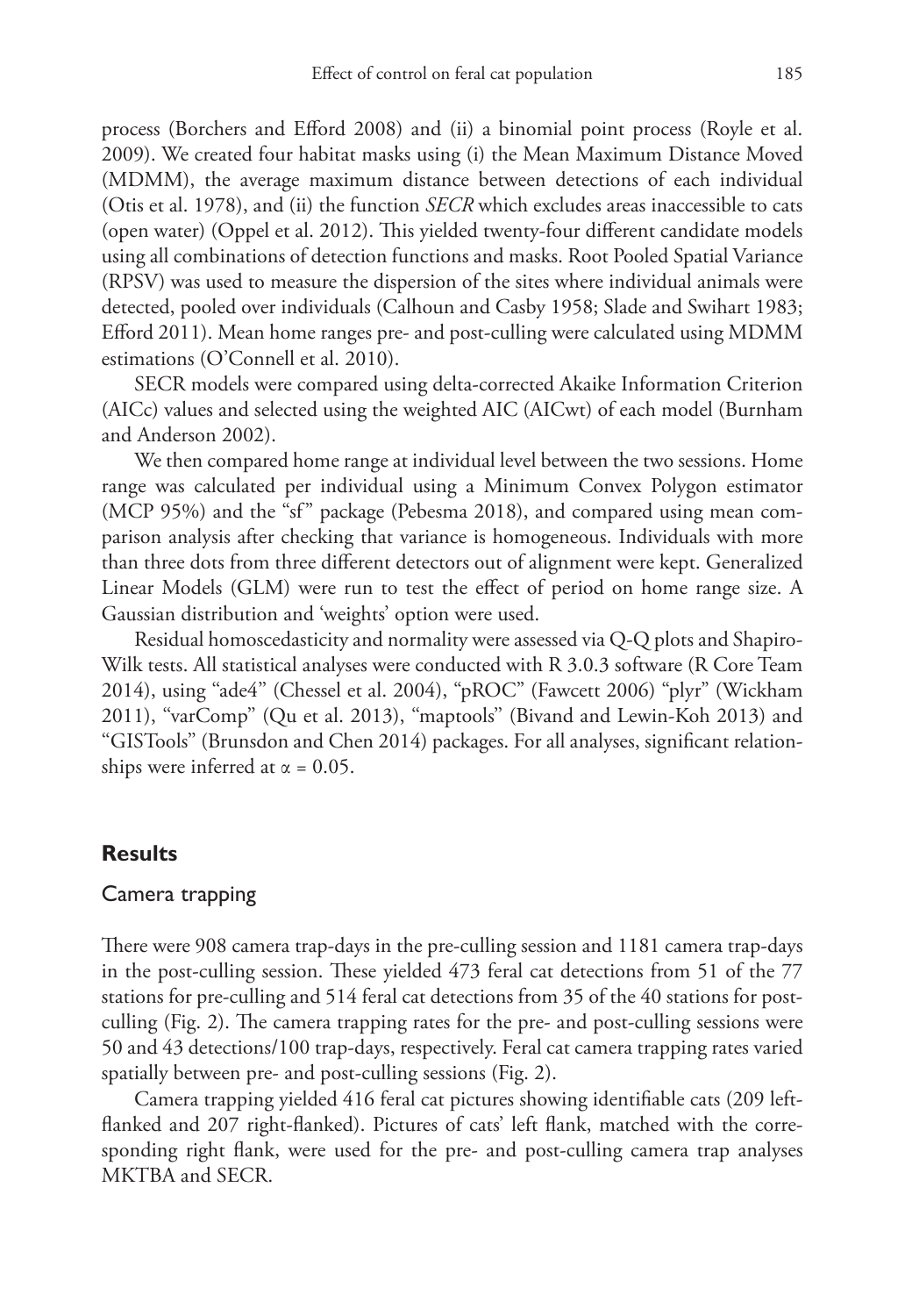process (Borchers and Efford 2008) and (ii) a binomial point process (Royle et al. 2009). We created four habitat masks using (i) the Mean Maximum Distance Moved (MDMM), the average maximum distance between detections of each individual (Otis et al. 1978), and (ii) the function *SECR* which excludes areas inaccessible to cats (open water) (Oppel et al. 2012). This yielded twenty-four different candidate models using all combinations of detection functions and masks. Root Pooled Spatial Variance (RPSV) was used to measure the dispersion of the sites where individual animals were detected, pooled over individuals (Calhoun and Casby 1958; Slade and Swihart 1983; Efford 2011). Mean home ranges pre- and post-culling were calculated using MDMM estimations (O'Connell et al. 2010).

SECR models were compared using delta-corrected Akaike Information Criterion (AICc) values and selected using the weighted AIC (AICwt) of each model (Burnham and Anderson 2002).

We then compared home range at individual level between the two sessions. Home range was calculated per individual using a Minimum Convex Polygon estimator (MCP 95%) and the "sf" package (Pebesma 2018), and compared using mean comparison analysis after checking that variance is homogeneous. Individuals with more than three dots from three different detectors out of alignment were kept. Generalized Linear Models (GLM) were run to test the effect of period on home range size. A Gaussian distribution and 'weights' option were used.

Residual homoscedasticity and normality were assessed via Q-Q plots and Shapiro-Wilk tests. All statistical analyses were conducted with R 3.0.3 software (R Core Team 2014), using ''ade4'' (Chessel et al. 2004), "pROC" (Fawcett 2006) "plyr" (Wickham 2011), ''varComp'' (Qu et al. 2013), ''maptools'' (Bivand and Lewin-Koh 2013) and ''GISTools'' (Brunsdon and Chen 2014) packages. For all analyses, significant relationships were inferred at  $\alpha = 0.05$ .

#### **Results**

#### Camera trapping

There were 908 camera trap-days in the pre-culling session and 1181 camera trap-days in the post-culling session. These yielded 473 feral cat detections from 51 of the 77 stations for pre-culling and 514 feral cat detections from 35 of the 40 stations for postculling (Fig. 2). The camera trapping rates for the pre- and post-culling sessions were 50 and 43 detections/100 trap-days, respectively. Feral cat camera trapping rates varied spatially between pre- and post-culling sessions (Fig. 2).

Camera trapping yielded 416 feral cat pictures showing identifiable cats (209 leftflanked and 207 right-flanked). Pictures of cats' left flank, matched with the corresponding right flank, were used for the pre- and post-culling camera trap analyses MKTBA and SECR.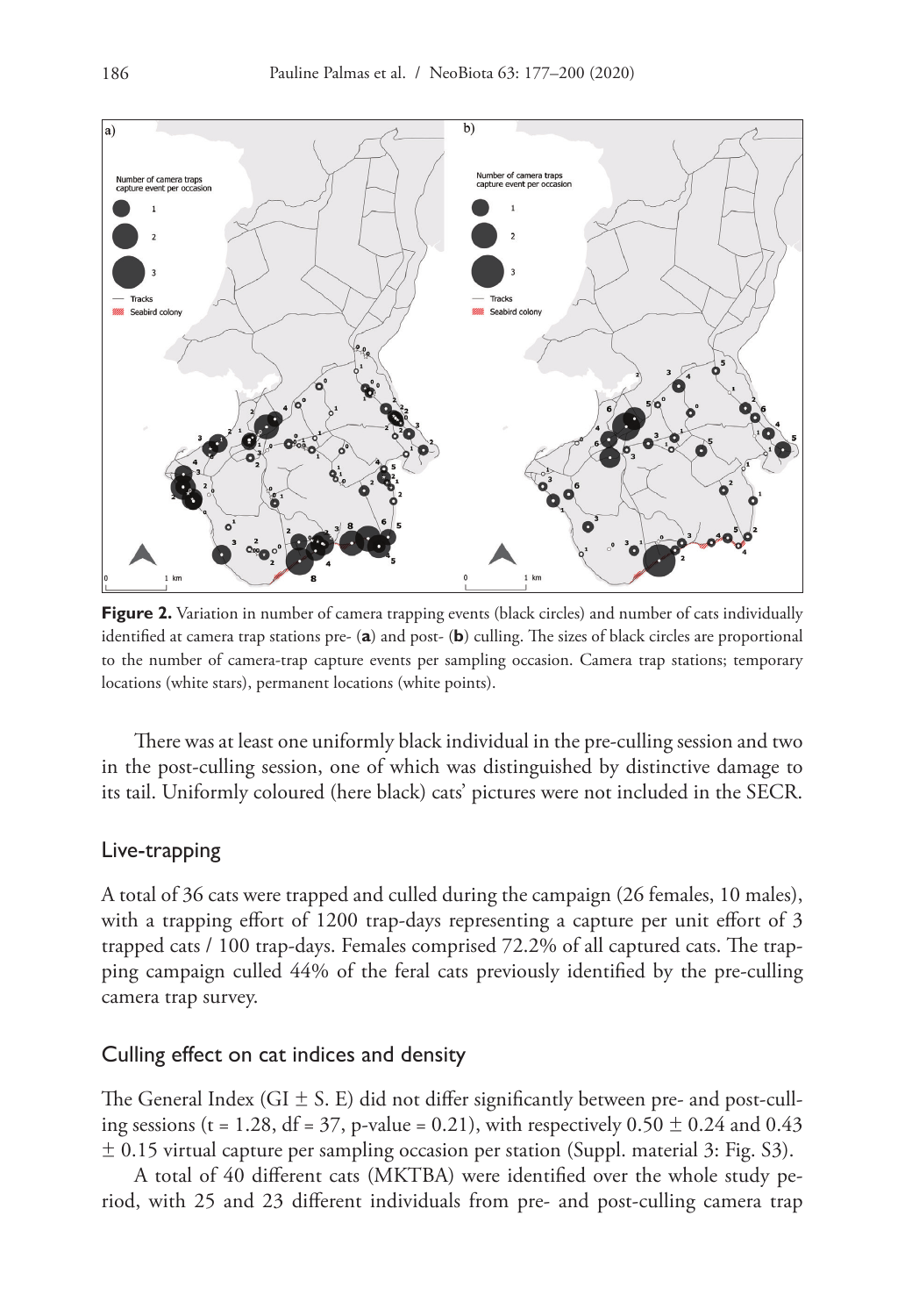

**Figure 2.** Variation in number of camera trapping events (black circles) and number of cats individually identified at camera trap stations pre- (**a**) and post- (**b**) culling. The sizes of black circles are proportional to the number of camera-trap capture events per sampling occasion. Camera trap stations; temporary locations (white stars), permanent locations (white points).

There was at least one uniformly black individual in the pre-culling session and two in the post-culling session, one of which was distinguished by distinctive damage to its tail. Uniformly coloured (here black) cats' pictures were not included in the SECR.

#### Live-trapping

A total of 36 cats were trapped and culled during the campaign (26 females, 10 males), with a trapping effort of 1200 trap-days representing a capture per unit effort of 3 trapped cats / 100 trap-days. Females comprised 72.2% of all captured cats. The trapping campaign culled 44% of the feral cats previously identified by the pre-culling camera trap survey.

#### Culling effect on cat indices and density

The General Index (GI  $\pm$  S. E) did not differ significantly between pre- and post-culling sessions (t = 1.28, df = 37, p-value = 0.21), with respectively  $0.50 \pm 0.24$  and  $0.43$  $\pm$  0.15 virtual capture per sampling occasion per station (Suppl. material 3: Fig. S3).

A total of 40 different cats (MKTBA) were identified over the whole study period, with 25 and 23 different individuals from pre- and post-culling camera trap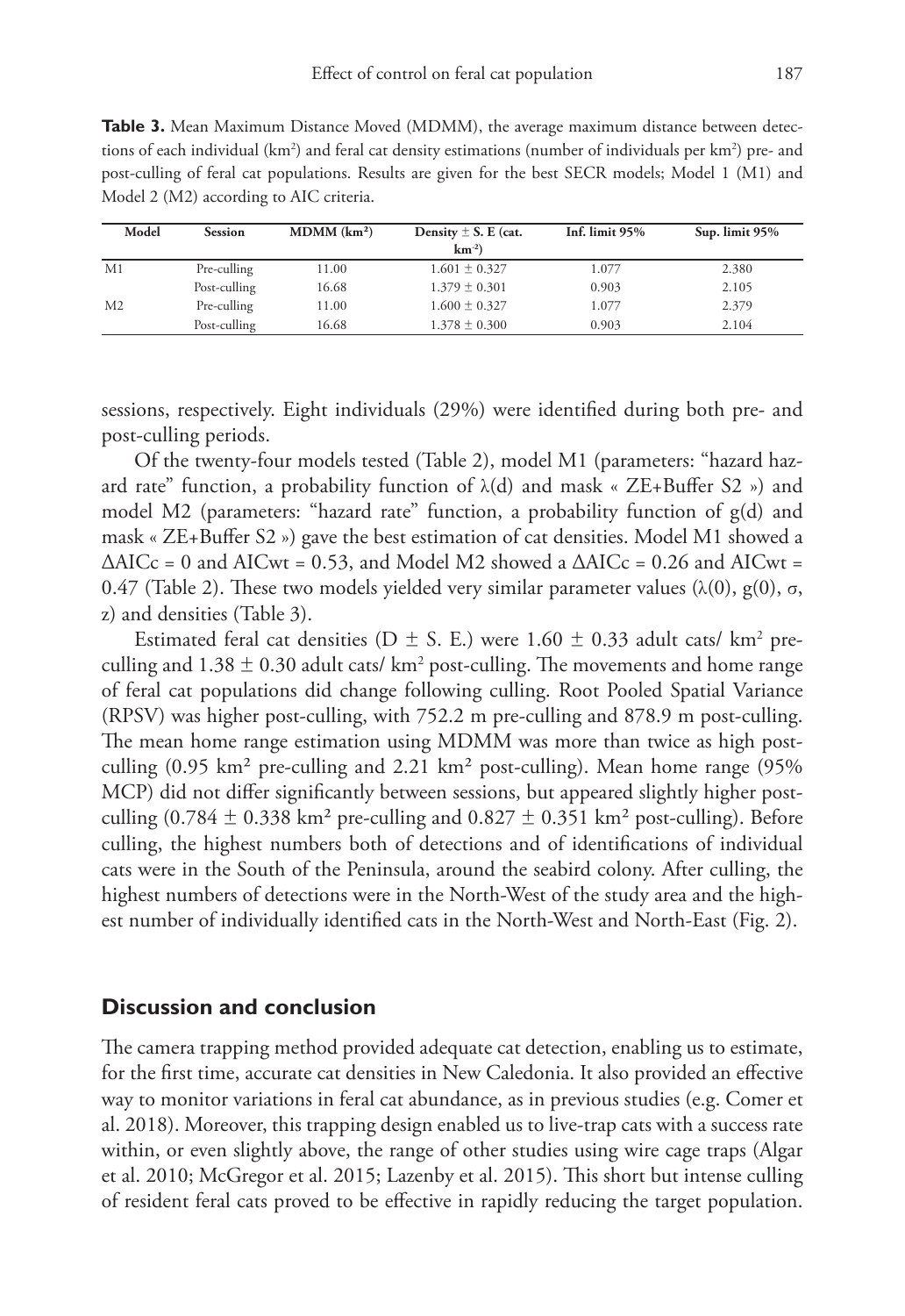**Table 3.** Mean Maximum Distance Moved (MDMM), the average maximum distance between detections of each individual (km<sup>2</sup>) and feral cat density estimations (number of individuals per km<sup>2</sup>) pre- and post-culling of feral cat populations. Results are given for the best SECR models; Model 1 (M1) and Model 2 (M2) according to AIC criteria.

| Model          | <b>Session</b> | MDMM (km <sup>2</sup> ) | Density $\pm$ S. E (cat. | Inf. limit 95% | Sup. limit 95% |  |
|----------------|----------------|-------------------------|--------------------------|----------------|----------------|--|
|                |                |                         | $km^{-2}$ )              |                |                |  |
| M1             | Pre-culling    | 11.00                   | $1.601 \pm 0.327$        | 1.077          | 2.380          |  |
|                | Post-culling   | 16.68                   | $1.379 \pm 0.301$        | 0.903          | 2.105          |  |
| M <sub>2</sub> | Pre-culling    | 11.00                   | $1.600 \pm 0.327$        | 1.077          | 2.379          |  |
|                | Post-culling   | 16.68                   | $1.378 \pm 0.300$        | 0.903          | 2.104          |  |

sessions, respectively. Eight individuals (29%) were identified during both pre- and post-culling periods.

Of the twenty-four models tested (Table 2), model M1 (parameters: "hazard hazard rate" function, a probability function of  $\lambda$ (d) and mask « ZE+Buffer S2 ») and model M2 (parameters: "hazard rate" function, a probability function of g(d) and mask « ZE+Buffer S2 ») gave the best estimation of cat densities. Model M1 showed a  $\triangle$ AICc = 0 and AICwt = 0.53, and Model M2 showed a  $\triangle$ AICc = 0.26 and AICwt = 0.47 (Table 2). These two models yielded very similar parameter values (λ(0), g(0), σ, z) and densities (Table 3).

Estimated feral cat densities (D  $\pm$  S. E.) were 1.60  $\pm$  0.33 adult cats/ km² preculling and  $1.38 \pm 0.30$  adult cats/ km<sup>2</sup> post-culling. The movements and home range of feral cat populations did change following culling. Root Pooled Spatial Variance (RPSV) was higher post-culling, with 752.2 m pre-culling and 878.9 m post-culling. The mean home range estimation using MDMM was more than twice as high postculling (0.95 km² pre-culling and 2.21 km² post-culling). Mean home range (95% MCP) did not differ significantly between sessions, but appeared slightly higher postculling (0.784  $\pm$  0.338 km<sup>2</sup> pre-culling and 0.827  $\pm$  0.351 km<sup>2</sup> post-culling). Before culling, the highest numbers both of detections and of identifications of individual cats were in the South of the Peninsula, around the seabird colony. After culling, the highest numbers of detections were in the North-West of the study area and the highest number of individually identified cats in the North-West and North-East (Fig. 2).

#### **Discussion and conclusion**

The camera trapping method provided adequate cat detection, enabling us to estimate, for the first time, accurate cat densities in New Caledonia. It also provided an effective way to monitor variations in feral cat abundance, as in previous studies (e.g. Comer et al. 2018). Moreover, this trapping design enabled us to live-trap cats with a success rate within, or even slightly above, the range of other studies using wire cage traps (Algar et al. 2010; McGregor et al. 2015; Lazenby et al. 2015). This short but intense culling of resident feral cats proved to be effective in rapidly reducing the target population.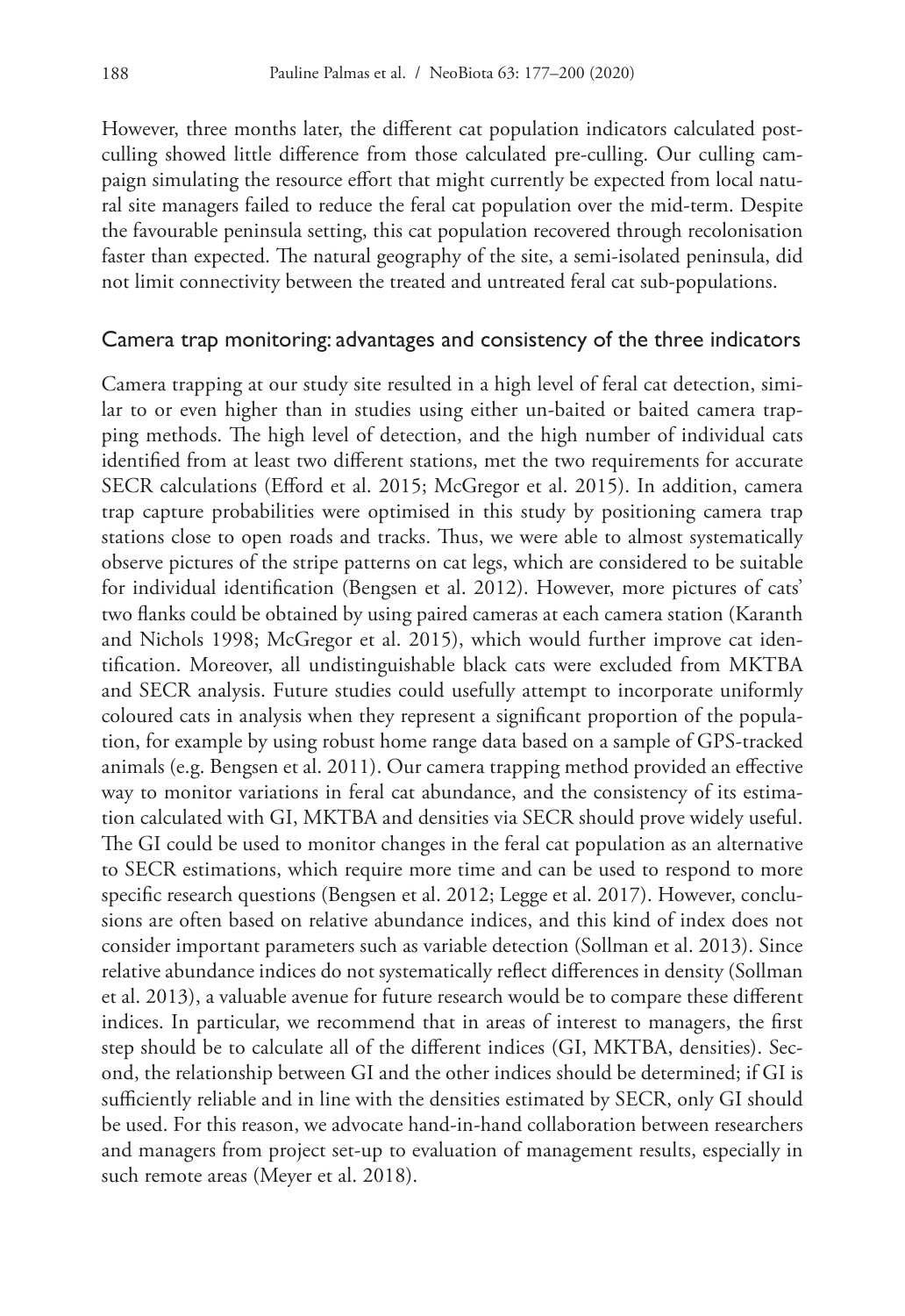However, three months later, the different cat population indicators calculated postculling showed little difference from those calculated pre-culling. Our culling campaign simulating the resource effort that might currently be expected from local natural site managers failed to reduce the feral cat population over the mid-term. Despite the favourable peninsula setting, this cat population recovered through recolonisation faster than expected. The natural geography of the site, a semi-isolated peninsula, did not limit connectivity between the treated and untreated feral cat sub-populations.

#### Camera trap monitoring: advantages and consistency of the three indicators

Camera trapping at our study site resulted in a high level of feral cat detection, similar to or even higher than in studies using either un-baited or baited camera trapping methods. The high level of detection, and the high number of individual cats identified from at least two different stations, met the two requirements for accurate SECR calculations (Efford et al. 2015; McGregor et al. 2015). In addition, camera trap capture probabilities were optimised in this study by positioning camera trap stations close to open roads and tracks. Thus, we were able to almost systematically observe pictures of the stripe patterns on cat legs, which are considered to be suitable for individual identification (Bengsen et al. 2012). However, more pictures of cats' two flanks could be obtained by using paired cameras at each camera station (Karanth and Nichols 1998; McGregor et al. 2015), which would further improve cat identification. Moreover, all undistinguishable black cats were excluded from MKTBA and SECR analysis. Future studies could usefully attempt to incorporate uniformly coloured cats in analysis when they represent a significant proportion of the population, for example by using robust home range data based on a sample of GPS-tracked animals (e.g. Bengsen et al. 2011). Our camera trapping method provided an effective way to monitor variations in feral cat abundance, and the consistency of its estimation calculated with GI, MKTBA and densities via SECR should prove widely useful. The GI could be used to monitor changes in the feral cat population as an alternative to SECR estimations, which require more time and can be used to respond to more specific research questions (Bengsen et al. 2012; Legge et al. 2017). However, conclusions are often based on relative abundance indices, and this kind of index does not consider important parameters such as variable detection (Sollman et al. 2013). Since relative abundance indices do not systematically reflect differences in density (Sollman et al. 2013), a valuable avenue for future research would be to compare these different indices. In particular, we recommend that in areas of interest to managers, the first step should be to calculate all of the different indices (GI, MKTBA, densities). Second, the relationship between GI and the other indices should be determined; if GI is sufficiently reliable and in line with the densities estimated by SECR, only GI should be used. For this reason, we advocate hand-in-hand collaboration between researchers and managers from project set-up to evaluation of management results, especially in such remote areas (Meyer et al. 2018).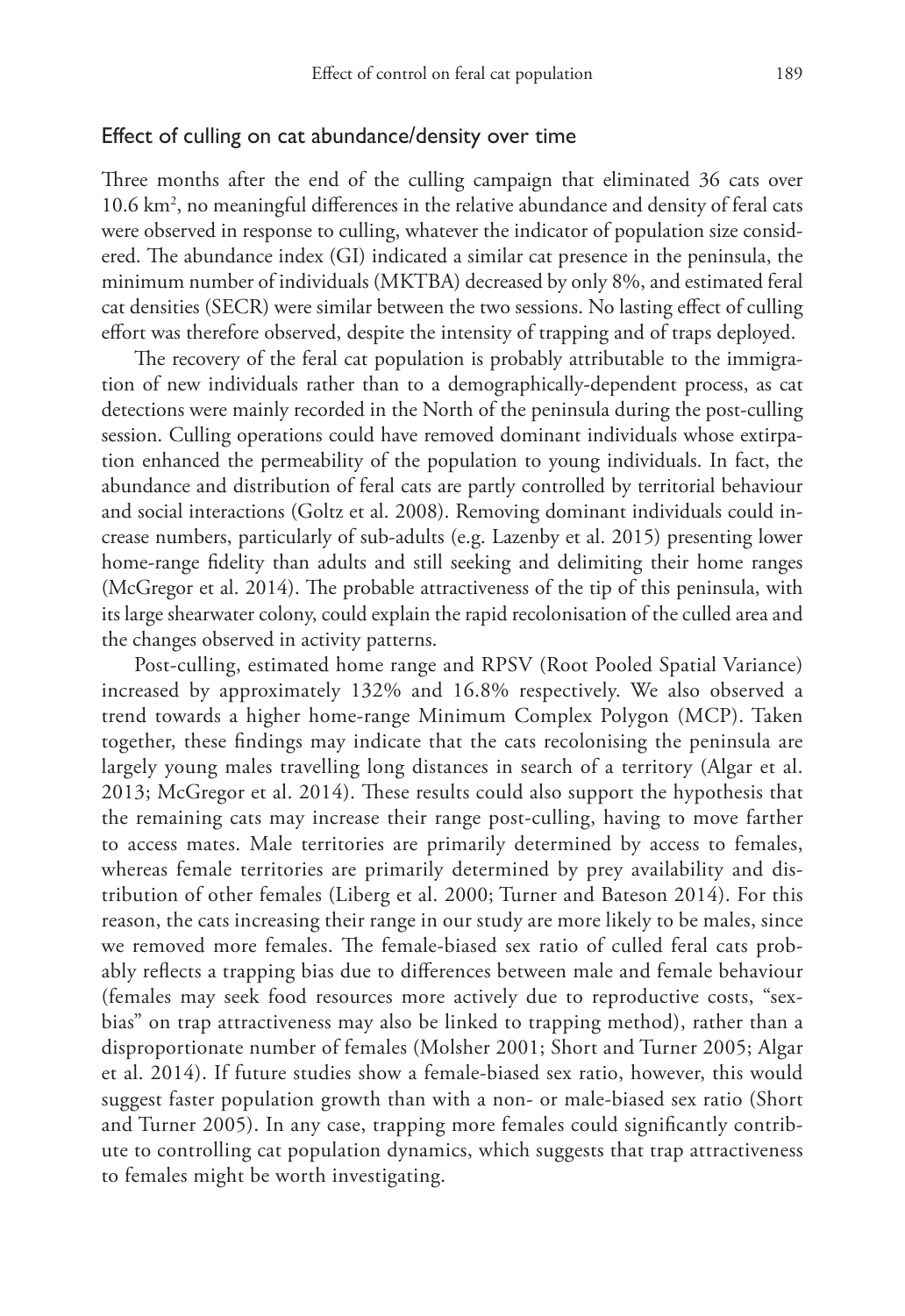#### Effect of culling on cat abundance/density over time

Three months after the end of the culling campaign that eliminated 36 cats over 10.6 km2 , no meaningful differences in the relative abundance and density of feral cats were observed in response to culling, whatever the indicator of population size considered. The abundance index (GI) indicated a similar cat presence in the peninsula, the minimum number of individuals (MKTBA) decreased by only 8%, and estimated feral cat densities (SECR) were similar between the two sessions. No lasting effect of culling effort was therefore observed, despite the intensity of trapping and of traps deployed.

The recovery of the feral cat population is probably attributable to the immigration of new individuals rather than to a demographically-dependent process, as cat detections were mainly recorded in the North of the peninsula during the post-culling session. Culling operations could have removed dominant individuals whose extirpation enhanced the permeability of the population to young individuals. In fact, the abundance and distribution of feral cats are partly controlled by territorial behaviour and social interactions (Goltz et al. 2008). Removing dominant individuals could increase numbers, particularly of sub-adults (e.g. Lazenby et al. 2015) presenting lower home-range fidelity than adults and still seeking and delimiting their home ranges (McGregor et al. 2014). The probable attractiveness of the tip of this peninsula, with its large shearwater colony, could explain the rapid recolonisation of the culled area and the changes observed in activity patterns.

Post-culling, estimated home range and RPSV (Root Pooled Spatial Variance) increased by approximately 132% and 16.8% respectively. We also observed a trend towards a higher home-range Minimum Complex Polygon (MCP). Taken together, these findings may indicate that the cats recolonising the peninsula are largely young males travelling long distances in search of a territory (Algar et al. 2013; McGregor et al. 2014). These results could also support the hypothesis that the remaining cats may increase their range post-culling, having to move farther to access mates. Male territories are primarily determined by access to females, whereas female territories are primarily determined by prey availability and distribution of other females (Liberg et al. 2000; Turner and Bateson 2014). For this reason, the cats increasing their range in our study are more likely to be males, since we removed more females. The female-biased sex ratio of culled feral cats probably reflects a trapping bias due to differences between male and female behaviour (females may seek food resources more actively due to reproductive costs, "sexbias" on trap attractiveness may also be linked to trapping method), rather than a disproportionate number of females (Molsher 2001; Short and Turner 2005; Algar et al. 2014). If future studies show a female-biased sex ratio, however, this would suggest faster population growth than with a non- or male-biased sex ratio (Short and Turner 2005). In any case, trapping more females could significantly contribute to controlling cat population dynamics, which suggests that trap attractiveness to females might be worth investigating.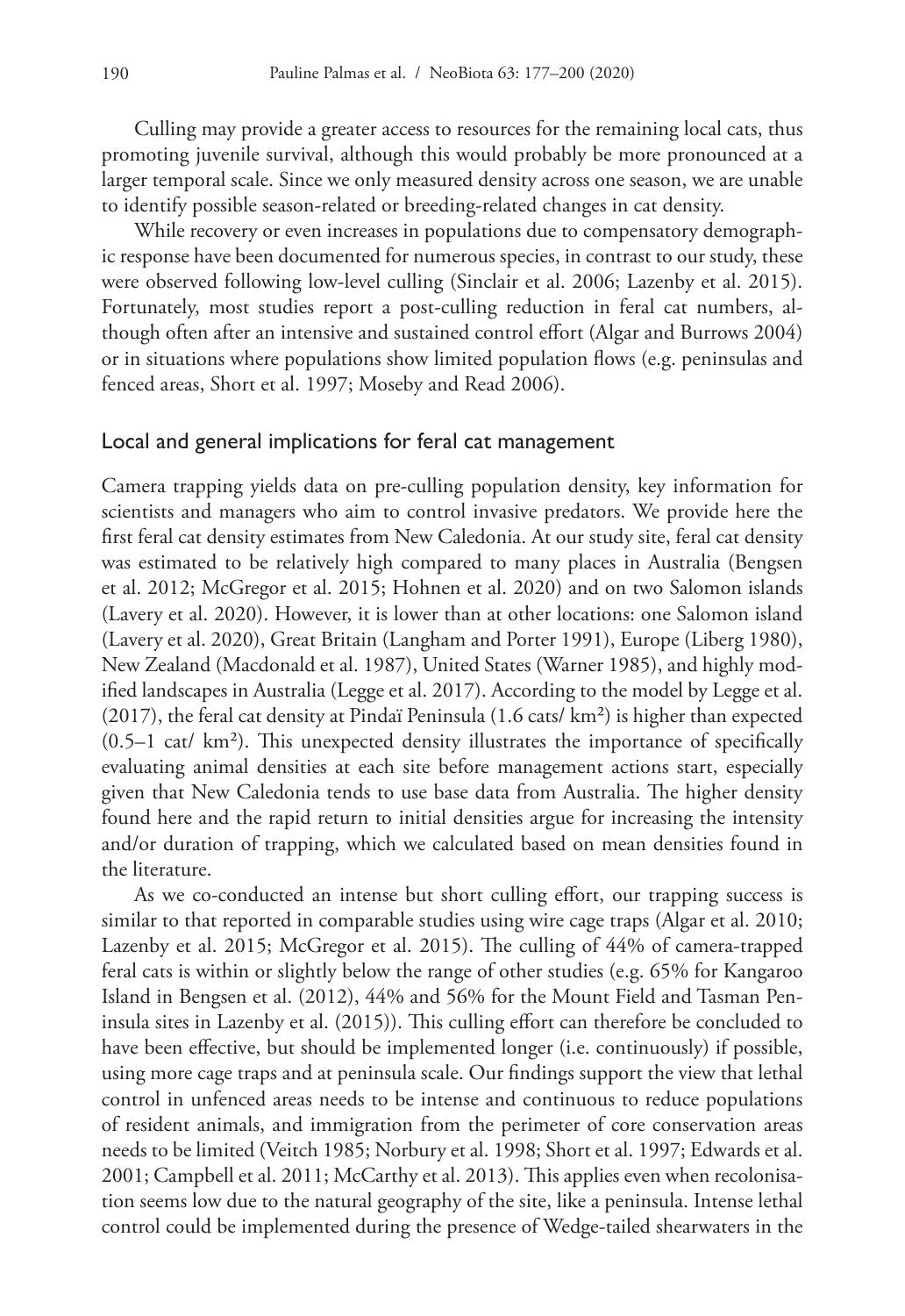Culling may provide a greater access to resources for the remaining local cats, thus promoting juvenile survival, although this would probably be more pronounced at a larger temporal scale. Since we only measured density across one season, we are unable to identify possible season-related or breeding-related changes in cat density.

While recovery or even increases in populations due to compensatory demographic response have been documented for numerous species, in contrast to our study, these were observed following low-level culling (Sinclair et al. 2006; Lazenby et al. 2015). Fortunately, most studies report a post-culling reduction in feral cat numbers, although often after an intensive and sustained control effort (Algar and Burrows 2004) or in situations where populations show limited population flows (e.g. peninsulas and fenced areas, Short et al. 1997; Moseby and Read 2006).

#### Local and general implications for feral cat management

Camera trapping yields data on pre-culling population density, key information for scientists and managers who aim to control invasive predators. We provide here the first feral cat density estimates from New Caledonia. At our study site, feral cat density was estimated to be relatively high compared to many places in Australia (Bengsen et al. 2012; McGregor et al. 2015; Hohnen et al. 2020) and on two Salomon islands (Lavery et al. 2020). However, it is lower than at other locations: one Salomon island (Lavery et al. 2020), Great Britain (Langham and Porter 1991), Europe (Liberg 1980), New Zealand (Macdonald et al. 1987), United States (Warner 1985), and highly modified landscapes in Australia (Legge et al. 2017). According to the model by Legge et al.  $(2017)$ , the feral cat density at Pindaï Peninsula  $(1.6 \text{ cats/ km}^2)$  is higher than expected (0.5–1 cat/ km²). This unexpected density illustrates the importance of specifically evaluating animal densities at each site before management actions start, especially given that New Caledonia tends to use base data from Australia. The higher density found here and the rapid return to initial densities argue for increasing the intensity and/or duration of trapping, which we calculated based on mean densities found in the literature.

As we co-conducted an intense but short culling effort, our trapping success is similar to that reported in comparable studies using wire cage traps (Algar et al. 2010; Lazenby et al. 2015; McGregor et al. 2015). The culling of 44% of camera-trapped feral cats is within or slightly below the range of other studies (e.g. 65% for Kangaroo Island in Bengsen et al. (2012), 44% and 56% for the Mount Field and Tasman Peninsula sites in Lazenby et al. (2015)). This culling effort can therefore be concluded to have been effective, but should be implemented longer (i.e. continuously) if possible, using more cage traps and at peninsula scale. Our findings support the view that lethal control in unfenced areas needs to be intense and continuous to reduce populations of resident animals, and immigration from the perimeter of core conservation areas needs to be limited (Veitch 1985; Norbury et al. 1998; Short et al. 1997; Edwards et al. 2001; Campbell et al. 2011; McCarthy et al. 2013). This applies even when recolonisation seems low due to the natural geography of the site, like a peninsula. Intense lethal control could be implemented during the presence of Wedge-tailed shearwaters in the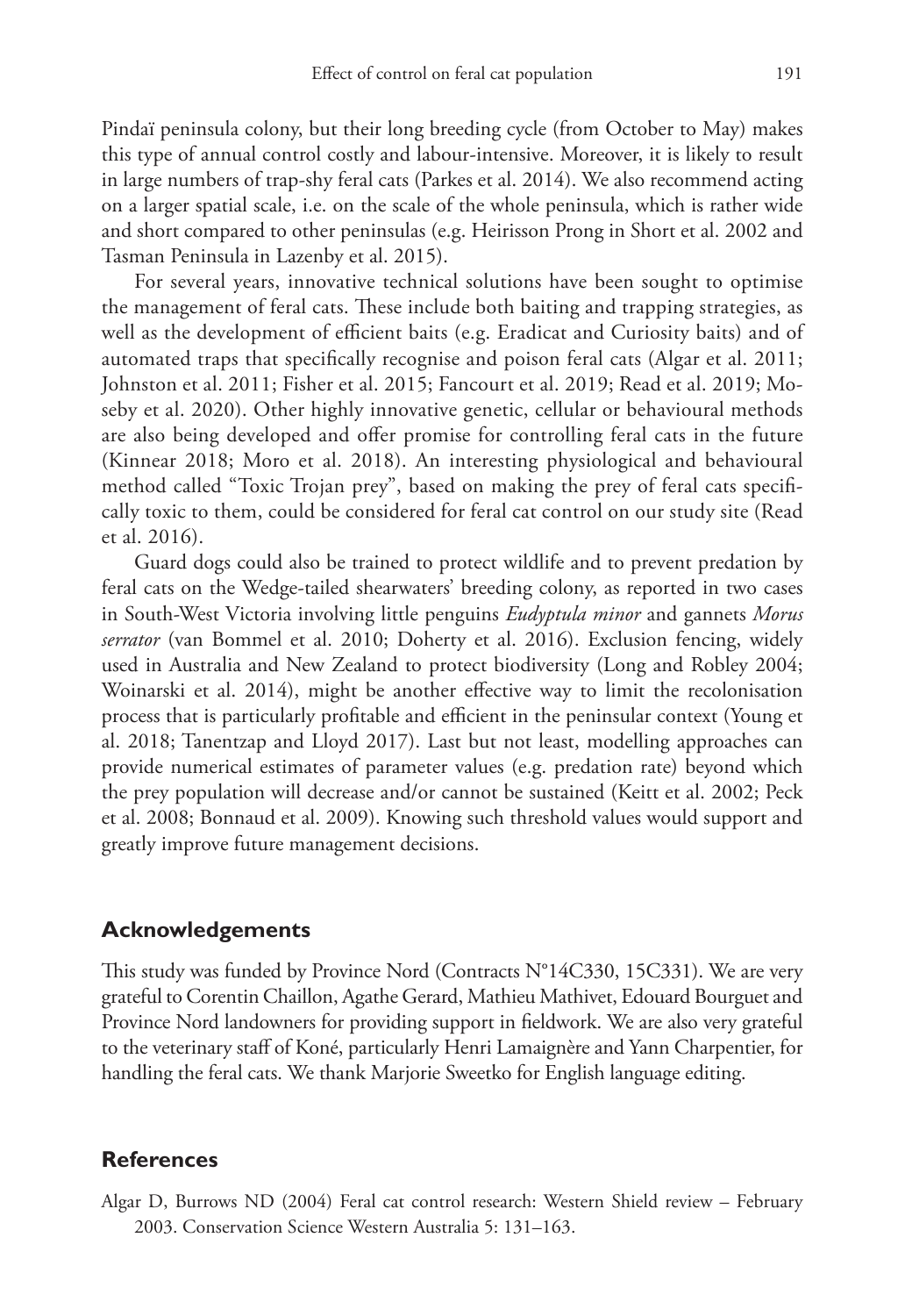Pindaï peninsula colony, but their long breeding cycle (from October to May) makes this type of annual control costly and labour-intensive. Moreover, it is likely to result in large numbers of trap-shy feral cats (Parkes et al. 2014). We also recommend acting on a larger spatial scale, i.e. on the scale of the whole peninsula, which is rather wide and short compared to other peninsulas (e.g. Heirisson Prong in Short et al. 2002 and Tasman Peninsula in Lazenby et al. 2015).

For several years, innovative technical solutions have been sought to optimise the management of feral cats. These include both baiting and trapping strategies, as well as the development of efficient baits (e.g. Eradicat and Curiosity baits) and of automated traps that specifically recognise and poison feral cats (Algar et al. 2011; Johnston et al. 2011; Fisher et al. 2015; Fancourt et al. 2019; Read et al. 2019; Moseby et al. 2020). Other highly innovative genetic, cellular or behavioural methods are also being developed and offer promise for controlling feral cats in the future (Kinnear 2018; Moro et al. 2018). An interesting physiological and behavioural method called "Toxic Trojan prey", based on making the prey of feral cats specifically toxic to them, could be considered for feral cat control on our study site (Read et al. 2016).

Guard dogs could also be trained to protect wildlife and to prevent predation by feral cats on the Wedge-tailed shearwaters' breeding colony, as reported in two cases in South-West Victoria involving little penguins *Eudyptula minor* and gannets *Morus serrator* (van Bommel et al. 2010; Doherty et al. 2016). Exclusion fencing, widely used in Australia and New Zealand to protect biodiversity (Long and Robley 2004; Woinarski et al. 2014), might be another effective way to limit the recolonisation process that is particularly profitable and efficient in the peninsular context (Young et al. 2018; Tanentzap and Lloyd 2017). Last but not least, modelling approaches can provide numerical estimates of parameter values (e.g. predation rate) beyond which the prey population will decrease and/or cannot be sustained (Keitt et al. 2002; Peck et al. 2008; Bonnaud et al. 2009). Knowing such threshold values would support and greatly improve future management decisions.

#### **Acknowledgements**

This study was funded by Province Nord (Contracts N°14C330, 15C331). We are very grateful to Corentin Chaillon, Agathe Gerard, Mathieu Mathivet, Edouard Bourguet and Province Nord landowners for providing support in fieldwork. We are also very grateful to the veterinary staff of Koné, particularly Henri Lamaignère and Yann Charpentier, for handling the feral cats. We thank Marjorie Sweetko for English language editing.

#### **References**

Algar D, Burrows ND (2004) Feral cat control research: Western Shield review – February 2003. Conservation Science Western Australia 5: 131–163.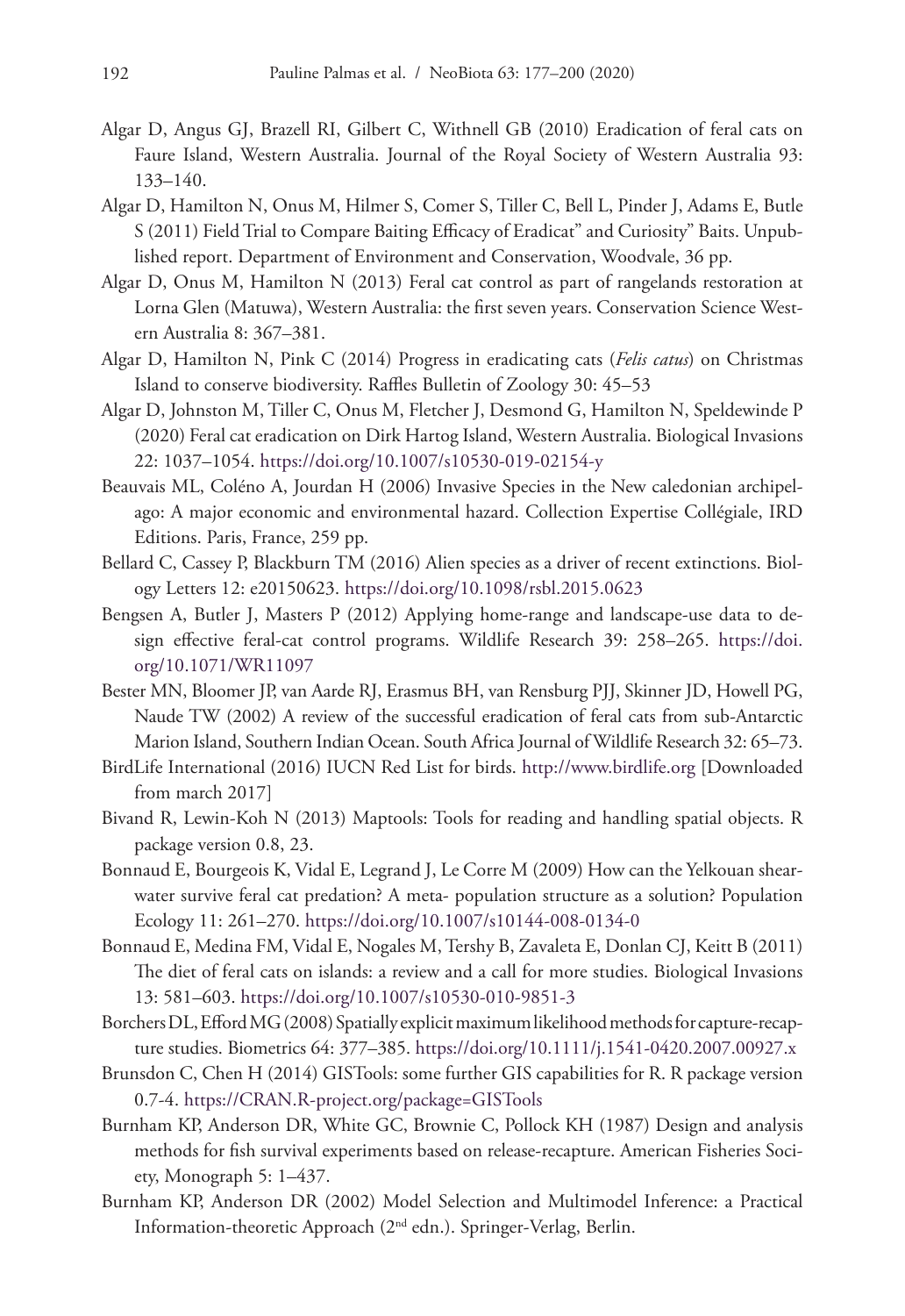- Algar D, Angus GJ, Brazell RI, Gilbert C, Withnell GB (2010) Eradication of feral cats on Faure Island, Western Australia. Journal of the Royal Society of Western Australia 93: 133–140.
- Algar D, Hamilton N, Onus M, Hilmer S, Comer S, Tiller C, Bell L, Pinder J, Adams E, Butle S (2011) Field Trial to Compare Baiting Efficacy of Eradicat" and Curiosity" Baits. Unpublished report. Department of Environment and Conservation, Woodvale, 36 pp.
- Algar D, Onus M, Hamilton N (2013) Feral cat control as part of rangelands restoration at Lorna Glen (Matuwa), Western Australia: the first seven years. Conservation Science Western Australia 8: 367–381.
- Algar D, Hamilton N, Pink C (2014) Progress in eradicating cats (*Felis catus*) on Christmas Island to conserve biodiversity. Raffles Bulletin of Zoology 30: 45–53
- Algar D, Johnston M, Tiller C, Onus M, Fletcher J, Desmond G, Hamilton N, Speldewinde P (2020) Feral cat eradication on Dirk Hartog Island, Western Australia. Biological Invasions 22: 1037–1054.<https://doi.org/10.1007/s10530-019-02154-y>
- Beauvais ML, Coléno A, Jourdan H (2006) Invasive Species in the New caledonian archipelago: A major economic and environmental hazard. Collection Expertise Collégiale, IRD Editions. Paris, France, 259 pp.
- Bellard C, Cassey P, Blackburn TM (2016) Alien species as a driver of recent extinctions. Biology Letters 12: e20150623.<https://doi.org/10.1098/rsbl.2015.0623>
- Bengsen A, Butler J, Masters P (2012) Applying home-range and landscape-use data to design effective feral-cat control programs. Wildlife Research 39: 258–265. [https://doi.](https://doi.org/10.1071/WR11097) [org/10.1071/WR11097](https://doi.org/10.1071/WR11097)
- Bester MN, Bloomer JP, van Aarde RJ, Erasmus BH, van Rensburg PJJ, Skinner JD, Howell PG, Naude TW (2002) A review of the successful eradication of feral cats from sub-Antarctic Marion Island, Southern Indian Ocean. South Africa Journal of Wildlife Research 32: 65–73.
- BirdLife International (2016) IUCN Red List for birds. <http://www.birdlife.org>[Downloaded from march 2017]
- Bivand R, Lewin-Koh N (2013) Maptools: Tools for reading and handling spatial objects. R package version 0.8, 23.
- Bonnaud E, Bourgeois K, Vidal E, Legrand J, Le Corre M (2009) How can the Yelkouan shearwater survive feral cat predation? A meta- population structure as a solution? Population Ecology 11: 261–270. <https://doi.org/10.1007/s10144-008-0134-0>
- Bonnaud E, Medina FM, Vidal E, Nogales M, Tershy B, Zavaleta E, Donlan CJ, Keitt B (2011) The diet of feral cats on islands: a review and a call for more studies. Biological Invasions 13: 581–603.<https://doi.org/10.1007/s10530-010-9851-3>
- Borchers DL, Efford MG (2008) Spatially explicit maximum likelihood methods for capture-recapture studies. Biometrics 64: 377–385. <https://doi.org/10.1111/j.1541-0420.2007.00927.x>
- Brunsdon C, Chen H (2014) GISTools: some further GIS capabilities for R. R package version 0.7-4.<https://CRAN.R-project.org/package=GISTools>
- Burnham KP, Anderson DR, White GC, Brownie C, Pollock KH (1987) Design and analysis methods for fish survival experiments based on release-recapture. American Fisheries Society, Monograph 5: 1–437.
- Burnham KP, Anderson DR (2002) Model Selection and Multimodel Inference: a Practical Information-theoretic Approach (2nd edn.). Springer-Verlag, Berlin.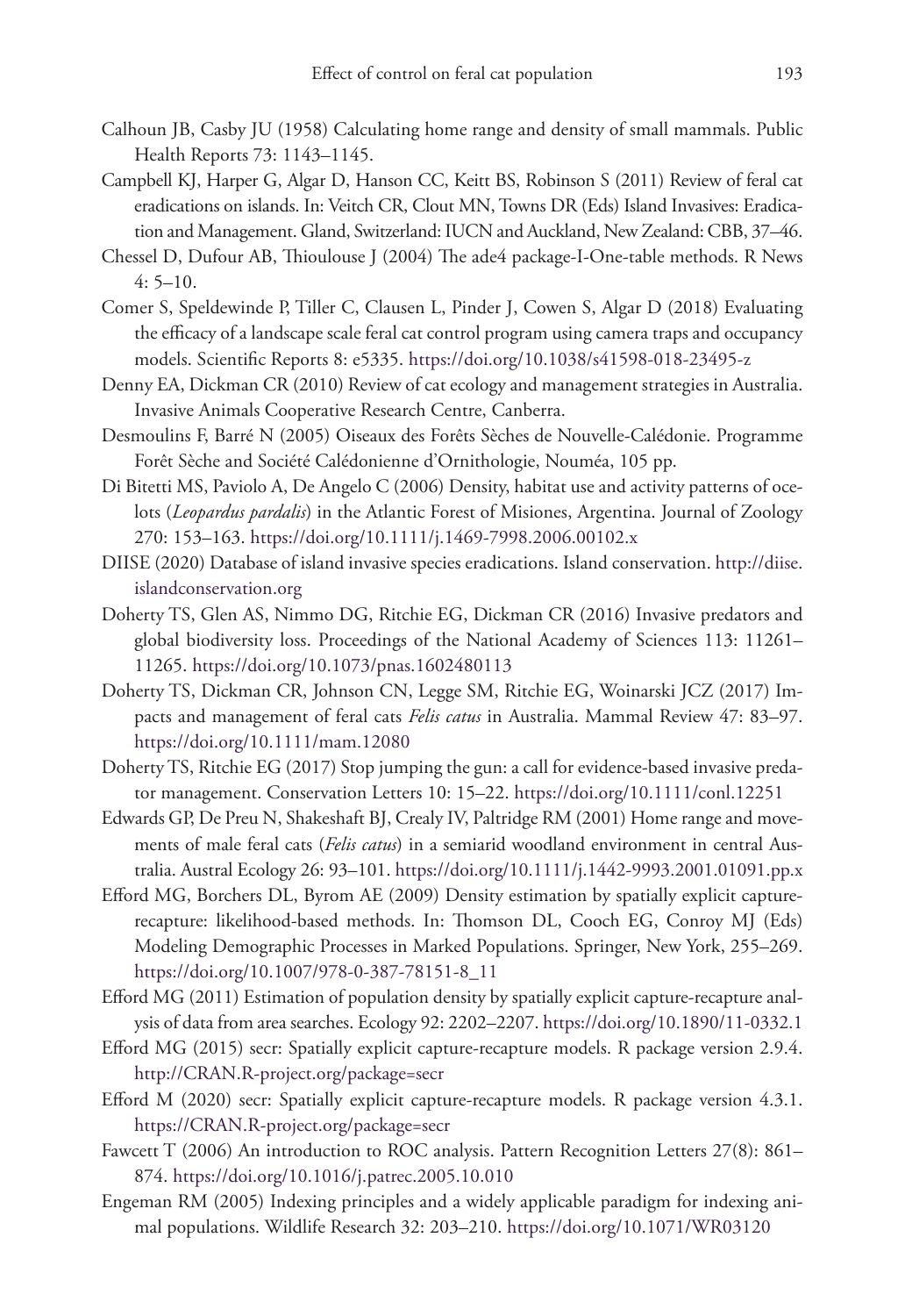- Calhoun JB, Casby JU (1958) Calculating home range and density of small mammals. Public Health Reports 73: 1143–1145.
- Campbell KJ, Harper G, Algar D, Hanson CC, Keitt BS, Robinson S (2011) Review of feral cat eradications on islands. In: Veitch CR, Clout MN, Towns DR (Eds) Island Invasives: Eradication and Management. Gland, Switzerland: IUCN and Auckland, New Zealand: CBB, 37–46.
- Chessel D, Dufour AB, Thioulouse J (2004) The ade4 package-I-One-table methods. R News 4: 5–10.
- Comer S, Speldewinde P, Tiller C, Clausen L, Pinder J, Cowen S, Algar D (2018) Evaluating the efficacy of a landscape scale feral cat control program using camera traps and occupancy models. Scientific Reports 8: e5335.<https://doi.org/10.1038/s41598-018-23495-z>
- Denny EA, Dickman CR (2010) Review of cat ecology and management strategies in Australia. Invasive Animals Cooperative Research Centre, Canberra.
- Desmoulins F, Barré N (2005) Oiseaux des Forêts Sèches de Nouvelle-Calédonie. Programme Forêt Sèche and Société Calédonienne d'Ornithologie, Nouméa, 105 pp.
- Di Bitetti MS, Paviolo A, De Angelo C (2006) Density, habitat use and activity patterns of ocelots (*Leopardus pardalis*) in the Atlantic Forest of Misiones, Argentina. Journal of Zoology 270: 153–163.<https://doi.org/10.1111/j.1469-7998.2006.00102.x>
- DIISE (2020) Database of island invasive species eradications. Island conservation. [http://diise.](http://diise.islandconservation.org) [islandconservation.org](http://diise.islandconservation.org)
- Doherty TS, Glen AS, Nimmo DG, Ritchie EG, Dickman CR (2016) Invasive predators and global biodiversity loss. Proceedings of the National Academy of Sciences 113: 11261– 11265.<https://doi.org/10.1073/pnas.1602480113>
- Doherty TS, Dickman CR, Johnson CN, Legge SM, Ritchie EG, Woinarski JCZ (2017) Impacts and management of feral cats *Felis catus* in Australia. Mammal Review 47: 83–97. <https://doi.org/10.1111/mam.12080>
- Doherty TS, Ritchie EG (2017) Stop jumping the gun: a call for evidence-based invasive predator management. Conservation Letters 10: 15–22. <https://doi.org/10.1111/conl.12251>
- Edwards GP, De Preu N, Shakeshaft BJ, Crealy IV, Paltridge RM (2001) Home range and movements of male feral cats (*Felis catus*) in a semiarid woodland environment in central Australia. Austral Ecology 26: 93–101.<https://doi.org/10.1111/j.1442-9993.2001.01091.pp.x>
- Efford MG, Borchers DL, Byrom AE (2009) Density estimation by spatially explicit capturerecapture: likelihood-based methods. In: Thomson DL, Cooch EG, Conroy MJ (Eds) Modeling Demographic Processes in Marked Populations. Springer, New York, 255–269. [https://doi.org/10.1007/978-0-387-78151-8\\_11](https://doi.org/10.1007/978-0-387-78151-8_11)
- Efford MG (2011) Estimation of population density by spatially explicit capture-recapture analysis of data from area searches. Ecology 92: 2202–2207.<https://doi.org/10.1890/11-0332.1>
- Efford MG (2015) secr: Spatially explicit capture-recapture models. R package version 2.9.4. <http://CRAN.R-project.org/package=secr>
- Efford M (2020) secr: Spatially explicit capture-recapture models. R package version 4.3.1. <https://CRAN.R-project.org/package=secr>
- Fawcett T (2006) An introduction to ROC analysis. Pattern Recognition Letters 27(8): 861– 874.<https://doi.org/10.1016/j.patrec.2005.10.010>
- Engeman RM (2005) Indexing principles and a widely applicable paradigm for indexing animal populations. Wildlife Research 32: 203–210.<https://doi.org/10.1071/WR03120>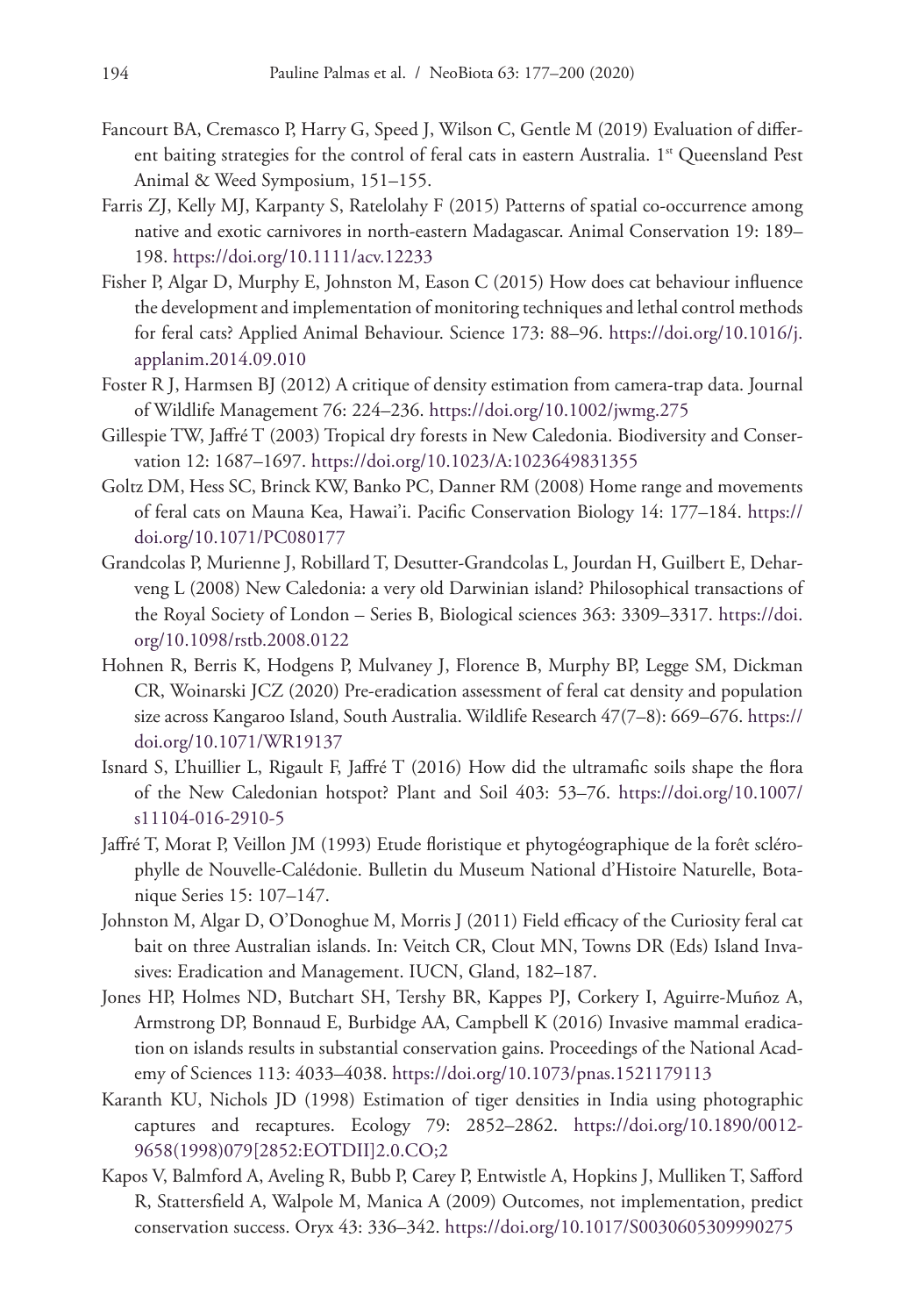- Fancourt BA, Cremasco P, Harry G, Speed J, Wilson C, Gentle M (2019) Evaluation of different baiting strategies for the control of feral cats in eastern Australia. 1<sup>st</sup> Queensland Pest Animal & Weed Symposium, 151–155.
- Farris ZJ, Kelly MJ, Karpanty S, Ratelolahy F (2015) Patterns of spatial co-occurrence among native and exotic carnivores in north-eastern Madagascar. Animal Conservation 19: 189– 198.<https://doi.org/10.1111/acv.12233>
- Fisher P, Algar D, Murphy E, Johnston M, Eason C (2015) How does cat behaviour influence the development and implementation of monitoring techniques and lethal control methods for feral cats? Applied Animal Behaviour. Science 173: 88–96. [https://doi.org/10.1016/j.](https://doi.org/10.1016/j.applanim.2014.09.010) [applanim.2014.09.010](https://doi.org/10.1016/j.applanim.2014.09.010)
- Foster R J, Harmsen BJ (2012) A critique of density estimation from camera-trap data. Journal of Wildlife Management 76: 224–236. <https://doi.org/10.1002/jwmg.275>
- Gillespie TW, Jaffré T (2003) Tropical dry forests in New Caledonia. Biodiversity and Conservation 12: 1687–1697. <https://doi.org/10.1023/A:1023649831355>
- Goltz DM, Hess SC, Brinck KW, Banko PC, Danner RM (2008) Home range and movements of feral cats on Mauna Kea, Hawai'i. Pacific Conservation Biology 14: 177–184. [https://](https://doi.org/10.1071/PC080177) [doi.org/10.1071/PC080177](https://doi.org/10.1071/PC080177)
- Grandcolas P, Murienne J, Robillard T, Desutter-Grandcolas L, Jourdan H, Guilbert E, Deharveng L (2008) New Caledonia: a very old Darwinian island? Philosophical transactions of the Royal Society of London – Series B, Biological sciences 363: 3309–3317. [https://doi.](https://doi.org/10.1098/rstb.2008.0122) [org/10.1098/rstb.2008.0122](https://doi.org/10.1098/rstb.2008.0122)
- Hohnen R, Berris K, Hodgens P, Mulvaney J, Florence B, Murphy BP, Legge SM, Dickman CR, Woinarski JCZ (2020) Pre-eradication assessment of feral cat density and population size across Kangaroo Island, South Australia. Wildlife Research 47(7–8): 669–676. [https://](https://doi.org/10.1071/WR19137) [doi.org/10.1071/WR19137](https://doi.org/10.1071/WR19137)
- Isnard S, L'huillier L, Rigault F, Jaffré T (2016) How did the ultramafic soils shape the flora of the New Caledonian hotspot? Plant and Soil 403: 53–76. [https://doi.org/10.1007/](https://doi.org/10.1007/s11104-016-2910-5) [s11104-016-2910-5](https://doi.org/10.1007/s11104-016-2910-5)
- Jaffré T, Morat P, Veillon JM (1993) Etude floristique et phytogéographique de la forêt sclérophylle de Nouvelle-Calédonie. Bulletin du Museum National d'Histoire Naturelle, Botanique Series 15: 107–147.
- Johnston M, Algar D, O'Donoghue M, Morris J (2011) Field efficacy of the Curiosity feral cat bait on three Australian islands. In: Veitch CR, Clout MN, Towns DR (Eds) Island Invasives: Eradication and Management. IUCN, Gland, 182–187.
- Jones HP, Holmes ND, Butchart SH, Tershy BR, Kappes PJ, Corkery I, Aguirre-Muñoz A, Armstrong DP, Bonnaud E, Burbidge AA, Campbell K (2016) Invasive mammal eradication on islands results in substantial conservation gains. Proceedings of the National Academy of Sciences 113: 4033–4038. <https://doi.org/10.1073/pnas.1521179113>
- Karanth KU, Nichols JD (1998) Estimation of tiger densities in India using photographic captures and recaptures. Ecology 79: 2852–2862. [https://doi.org/10.1890/0012-](https://doi.org/10.1890/0012-9658(1998)079%5B2852:EOTDII%5D2.0.CO;2) [9658\(1998\)079\[2852:EOTDII\]2.0.CO;2](https://doi.org/10.1890/0012-9658(1998)079%5B2852:EOTDII%5D2.0.CO;2)
- Kapos V, Balmford A, Aveling R, Bubb P, Carey P, Entwistle A, Hopkins J, Mulliken T, Safford R, Stattersfield A, Walpole M, Manica A (2009) Outcomes, not implementation, predict conservation success. Oryx 43: 336–342.<https://doi.org/10.1017/S0030605309990275>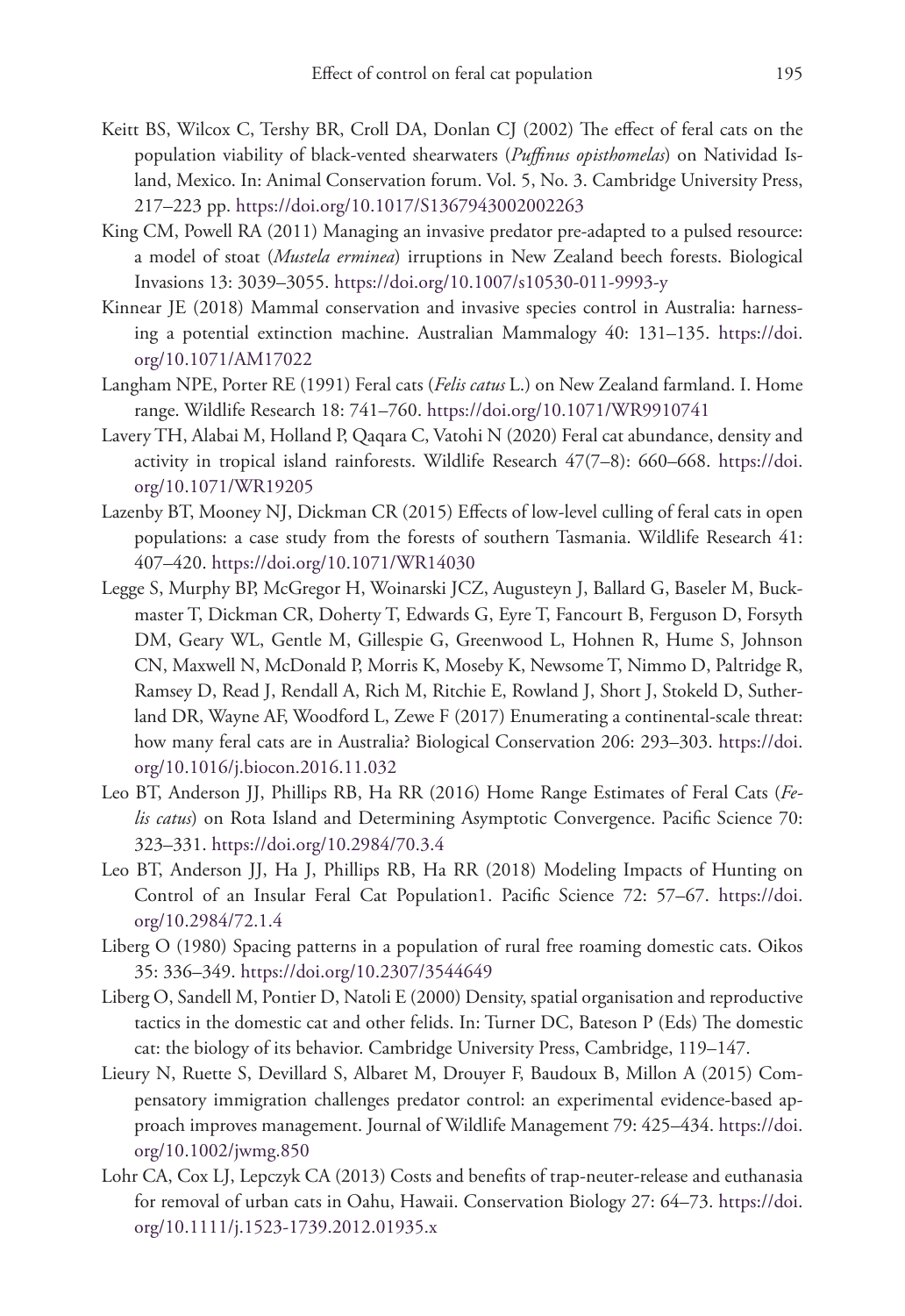- Keitt BS, Wilcox C, Tershy BR, Croll DA, Donlan CJ (2002) The effect of feral cats on the population viability of black-vented shearwaters (*Puffinus opisthomelas*) on Natividad Island, Mexico. In: Animal Conservation forum. Vol. 5, No. 3. Cambridge University Press, 217–223 pp. <https://doi.org/10.1017/S1367943002002263>
- King CM, Powell RA (2011) Managing an invasive predator pre-adapted to a pulsed resource: a model of stoat (*Mustela erminea*) irruptions in New Zealand beech forests. Biological Invasions 13: 3039–3055. <https://doi.org/10.1007/s10530-011-9993-y>
- Kinnear JE (2018) Mammal conservation and invasive species control in Australia: harnessing a potential extinction machine. Australian Mammalogy 40: 131–135. [https://doi.](https://doi.org/10.1071/AM17022) [org/10.1071/AM17022](https://doi.org/10.1071/AM17022)
- Langham NPE, Porter RE (1991) Feral cats (*Felis catus* L.) on New Zealand farmland. I. Home range. Wildlife Research 18: 741–760. <https://doi.org/10.1071/WR9910741>
- Lavery TH, Alabai M, Holland P, Qaqara C, Vatohi N (2020) Feral cat abundance, density and activity in tropical island rainforests. Wildlife Research 47(7–8): 660–668. [https://doi.](https://doi.org/10.1071/WR19205) [org/10.1071/WR19205](https://doi.org/10.1071/WR19205)
- Lazenby BT, Mooney NJ, Dickman CR (2015) Effects of low-level culling of feral cats in open populations: a case study from the forests of southern Tasmania. Wildlife Research 41: 407–420.<https://doi.org/10.1071/WR14030>
- Legge S, Murphy BP, McGregor H, Woinarski JCZ, Augusteyn J, Ballard G, Baseler M, Buckmaster T, Dickman CR, Doherty T, Edwards G, Eyre T, Fancourt B, Ferguson D, Forsyth DM, Geary WL, Gentle M, Gillespie G, Greenwood L, Hohnen R, Hume S, Johnson CN, Maxwell N, McDonald P, Morris K, Moseby K, Newsome T, Nimmo D, Paltridge R, Ramsey D, Read J, Rendall A, Rich M, Ritchie E, Rowland J, Short J, Stokeld D, Sutherland DR, Wayne AF, Woodford L, Zewe F (2017) Enumerating a continental-scale threat: how many feral cats are in Australia? Biological Conservation 206: 293–303. [https://doi.](https://doi.org/10.1016/j.biocon.2016.11.032) [org/10.1016/j.biocon.2016.11.032](https://doi.org/10.1016/j.biocon.2016.11.032)
- Leo BT, Anderson JJ, Phillips RB, Ha RR (2016) Home Range Estimates of Feral Cats (*Felis catus*) on Rota Island and Determining Asymptotic Convergence. Pacific Science 70: 323–331.<https://doi.org/10.2984/70.3.4>
- Leo BT, Anderson JJ, Ha J, Phillips RB, Ha RR (2018) Modeling Impacts of Hunting on Control of an Insular Feral Cat Population1. Pacific Science 72: 57–67. [https://doi.](https://doi.org/10.2984/72.1.4) [org/10.2984/72.1.4](https://doi.org/10.2984/72.1.4)
- Liberg O (1980) Spacing patterns in a population of rural free roaming domestic cats. Oikos 35: 336–349.<https://doi.org/10.2307/3544649>
- Liberg O, Sandell M, Pontier D, Natoli E (2000) Density, spatial organisation and reproductive tactics in the domestic cat and other felids. In: Turner DC, Bateson P (Eds) The domestic cat: the biology of its behavior. Cambridge University Press, Cambridge, 119–147.
- Lieury N, Ruette S, Devillard S, Albaret M, Drouyer F, Baudoux B, Millon A (2015) Compensatory immigration challenges predator control: an experimental evidence-based approach improves management. Journal of Wildlife Management 79: 425–434. [https://doi.](https://doi.org/10.1002/jwmg.850) [org/10.1002/jwmg.850](https://doi.org/10.1002/jwmg.850)
- Lohr CA, Cox LJ, Lepczyk CA (2013) Costs and benefits of trap-neuter-release and euthanasia for removal of urban cats in Oahu, Hawaii. Conservation Biology 27: 64–73. [https://doi.](https://doi.org/10.1111/j.1523-1739.2012.01935.x) [org/10.1111/j.1523-1739.2012.01935.x](https://doi.org/10.1111/j.1523-1739.2012.01935.x)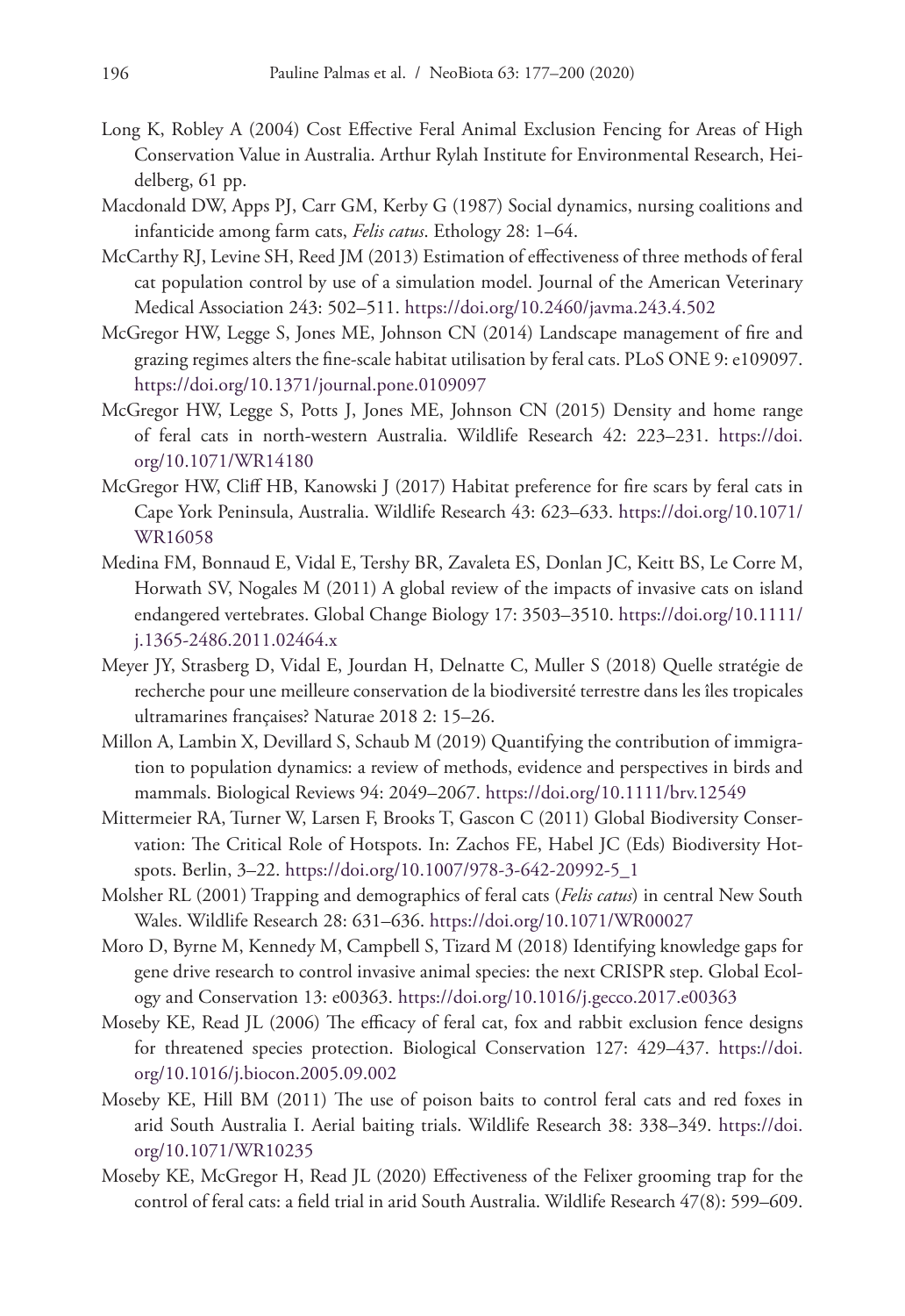- Long K, Robley A (2004) Cost Effective Feral Animal Exclusion Fencing for Areas of High Conservation Value in Australia. Arthur Rylah Institute for Environmental Research, Heidelberg, 61 pp.
- Macdonald DW, Apps PJ, Carr GM, Kerby G (1987) Social dynamics, nursing coalitions and infanticide among farm cats, *Felis catus*. Ethology 28: 1–64.
- McCarthy RJ, Levine SH, Reed JM (2013) Estimation of effectiveness of three methods of feral cat population control by use of a simulation model. Journal of the American Veterinary Medical Association 243: 502–511.<https://doi.org/10.2460/javma.243.4.502>
- McGregor HW, Legge S, Jones ME, Johnson CN (2014) Landscape management of fire and grazing regimes alters the fine-scale habitat utilisation by feral cats. PLoS ONE 9: e109097. <https://doi.org/10.1371/journal.pone.0109097>
- McGregor HW, Legge S, Potts J, Jones ME, Johnson CN (2015) Density and home range of feral cats in north-western Australia. Wildlife Research 42: 223–231. [https://doi.](https://doi.org/10.1071/WR14180) [org/10.1071/WR14180](https://doi.org/10.1071/WR14180)
- McGregor HW, Cliff HB, Kanowski J (2017) Habitat preference for fire scars by feral cats in Cape York Peninsula, Australia. Wildlife Research 43: 623–633. [https://doi.org/10.1071/](https://doi.org/10.1071/WR16058) [WR16058](https://doi.org/10.1071/WR16058)
- Medina FM, Bonnaud E, Vidal E, Tershy BR, Zavaleta ES, Donlan JC, Keitt BS, Le Corre M, Horwath SV, Nogales M (2011) A global review of the impacts of invasive cats on island endangered vertebrates. Global Change Biology 17: 3503–3510. [https://doi.org/10.1111/](https://doi.org/10.1111/j.1365-2486.2011.02464.x) [j.1365-2486.2011.02464.x](https://doi.org/10.1111/j.1365-2486.2011.02464.x)
- Meyer JY, Strasberg D, Vidal E, Jourdan H, Delnatte C, Muller S (2018) Quelle stratégie de recherche pour une meilleure conservation de la biodiversité terrestre dans les îles tropicales ultramarines françaises? Naturae 2018 2: 15–26.
- Millon A, Lambin X, Devillard S, Schaub M (2019) Quantifying the contribution of immigration to population dynamics: a review of methods, evidence and perspectives in birds and mammals. Biological Reviews 94: 2049–2067.<https://doi.org/10.1111/brv.12549>
- Mittermeier RA, Turner W, Larsen F, Brooks T, Gascon C (2011) Global Biodiversity Conservation: The Critical Role of Hotspots. In: Zachos FE, Habel JC (Eds) Biodiversity Hotspots. Berlin, 3–22. [https://doi.org/10.1007/978-3-642-20992-5\\_1](https://doi.org/10.1007/978-3-642-20992-5_1)
- Molsher RL (2001) Trapping and demographics of feral cats (*Felis catus*) in central New South Wales. Wildlife Research 28: 631–636.<https://doi.org/10.1071/WR00027>
- Moro D, Byrne M, Kennedy M, Campbell S, Tizard M (2018) Identifying knowledge gaps for gene drive research to control invasive animal species: the next CRISPR step. Global Ecology and Conservation 13: e00363. <https://doi.org/10.1016/j.gecco.2017.e00363>
- Moseby KE, Read JL (2006) The efficacy of feral cat, fox and rabbit exclusion fence designs for threatened species protection. Biological Conservation 127: 429–437. [https://doi.](https://doi.org/10.1016/j.biocon.2005.09.002) [org/10.1016/j.biocon.2005.09.002](https://doi.org/10.1016/j.biocon.2005.09.002)
- Moseby KE, Hill BM (2011) The use of poison baits to control feral cats and red foxes in arid South Australia I. Aerial baiting trials. Wildlife Research 38: 338–349. [https://doi.](https://doi.org/10.1071/WR10235) [org/10.1071/WR10235](https://doi.org/10.1071/WR10235)
- Moseby KE, McGregor H, Read JL (2020) Effectiveness of the Felixer grooming trap for the control of feral cats: a field trial in arid South Australia. Wildlife Research 47(8): 599–609.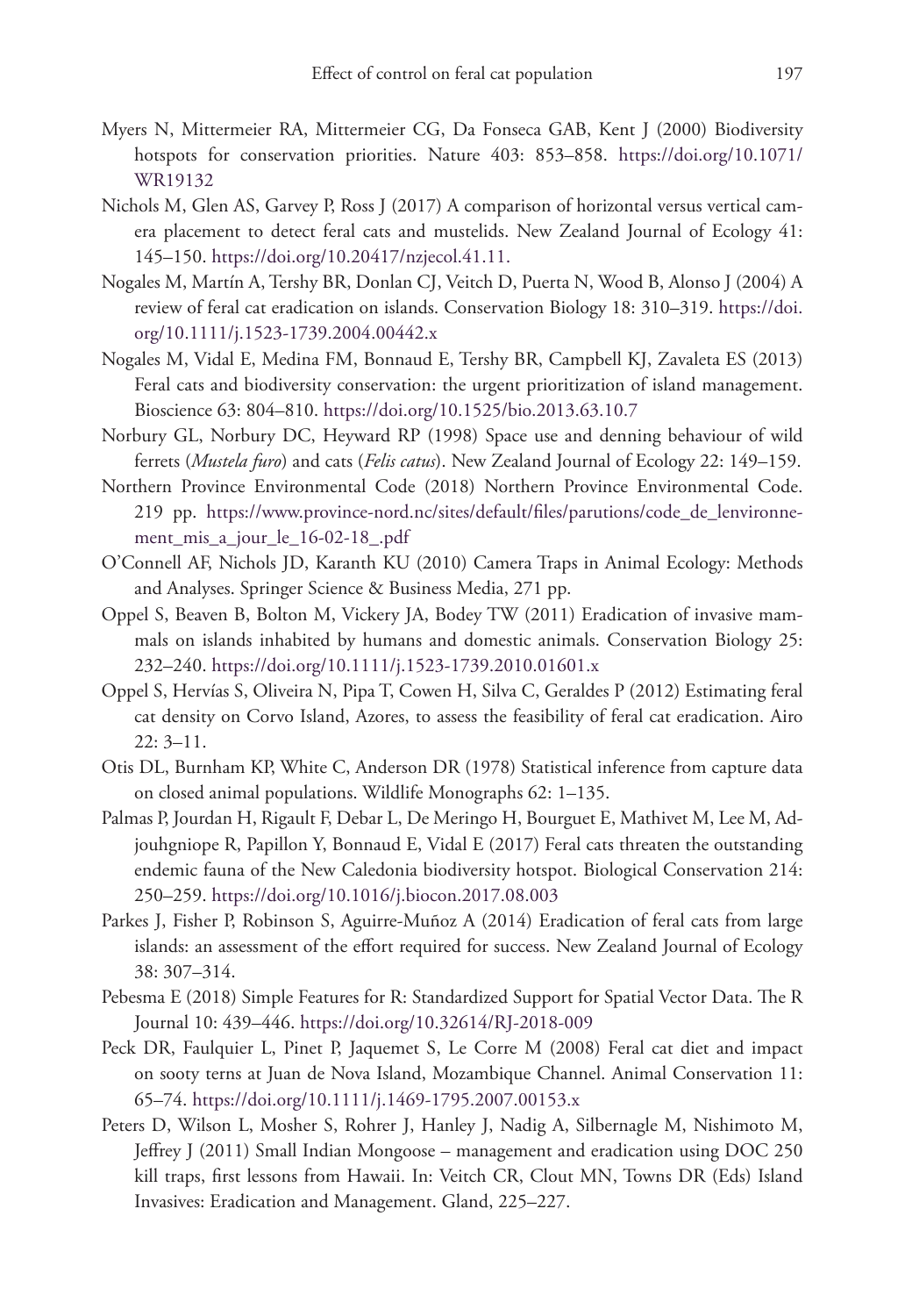- Myers N, Mittermeier RA, Mittermeier CG, Da Fonseca GAB, Kent J (2000) Biodiversity hotspots for conservation priorities. Nature 403: 853–858. [https://doi.org/10.1071/](https://doi.org/10.1071/WR19132) [WR19132](https://doi.org/10.1071/WR19132)
- Nichols M, Glen AS, Garvey P, Ross J (2017) A comparison of horizontal versus vertical camera placement to detect feral cats and mustelids. New Zealand Journal of Ecology 41: 145–150. [https://doi.org/10.20417/nzjecol.41.11.](https://doi.org/10.20417/nzjecol.41.11)
- Nogales M, Martín A, Tershy BR, Donlan CJ, Veitch D, Puerta N, Wood B, Alonso J (2004) A review of feral cat eradication on islands. Conservation Biology 18: 310–319. [https://doi.](https://doi.org/10.1111/j.1523-1739.2004.00442.x) [org/10.1111/j.1523-1739.2004.00442.x](https://doi.org/10.1111/j.1523-1739.2004.00442.x)
- Nogales M, Vidal E, Medina FM, Bonnaud E, Tershy BR, Campbell KJ, Zavaleta ES (2013) Feral cats and biodiversity conservation: the urgent prioritization of island management. Bioscience 63: 804–810.<https://doi.org/10.1525/bio.2013.63.10.7>
- Norbury GL, Norbury DC, Heyward RP (1998) Space use and denning behaviour of wild ferrets (*Mustela furo*) and cats (*Felis catus*). New Zealand Journal of Ecology 22: 149–159.
- Northern Province Environmental Code (2018) Northern Province Environmental Code. 219 pp. [https://www.province-nord.nc/sites/default/files/parutions/code\\_de\\_lenvironne](https://www.province-nord.nc/sites/default/files/parutions/code_de_lenvironnement_mis_a_jour_le_16-02-18_.pdf)[ment\\_mis\\_a\\_jour\\_le\\_16-02-18\\_.pdf](https://www.province-nord.nc/sites/default/files/parutions/code_de_lenvironnement_mis_a_jour_le_16-02-18_.pdf)
- O'Connell AF, Nichols JD, Karanth KU (2010) Camera Traps in Animal Ecology: Methods and Analyses. Springer Science & Business Media, 271 pp.
- Oppel S, Beaven B, Bolton M, Vickery JA, Bodey TW (2011) Eradication of invasive mammals on islands inhabited by humans and domestic animals. Conservation Biology 25: 232–240.<https://doi.org/10.1111/j.1523-1739.2010.01601.x>
- Oppel S, Hervías S, Oliveira N, Pipa T, Cowen H, Silva C, Geraldes P (2012) Estimating feral cat density on Corvo Island, Azores, to assess the feasibility of feral cat eradication. Airo 22: 3–11.
- Otis DL, Burnham KP, White C, Anderson DR (1978) Statistical inference from capture data on closed animal populations. Wildlife Monographs 62: 1–135.
- Palmas P, Jourdan H, Rigault F, Debar L, De Meringo H, Bourguet E, Mathivet M, Lee M, Adjouhgniope R, Papillon Y, Bonnaud E, Vidal E (2017) Feral cats threaten the outstanding endemic fauna of the New Caledonia biodiversity hotspot. Biological Conservation 214: 250–259.<https://doi.org/10.1016/j.biocon.2017.08.003>
- Parkes J, Fisher P, Robinson S, Aguirre-Muñoz A (2014) Eradication of feral cats from large islands: an assessment of the effort required for success. New Zealand Journal of Ecology 38: 307–314.
- Pebesma E (2018) Simple Features for R: Standardized Support for Spatial Vector Data. The R Journal 10: 439–446.<https://doi.org/10.32614/RJ-2018-009>
- Peck DR, Faulquier L, Pinet P, Jaquemet S, Le Corre M (2008) Feral cat diet and impact on sooty terns at Juan de Nova Island, Mozambique Channel. Animal Conservation 11: 65–74.<https://doi.org/10.1111/j.1469-1795.2007.00153.x>
- Peters D, Wilson L, Mosher S, Rohrer J, Hanley J, Nadig A, Silbernagle M, Nishimoto M, Jeffrey J (2011) Small Indian Mongoose – management and eradication using DOC 250 kill traps, first lessons from Hawaii. In: Veitch CR, Clout MN, Towns DR (Eds) Island Invasives: Eradication and Management. Gland, 225–227.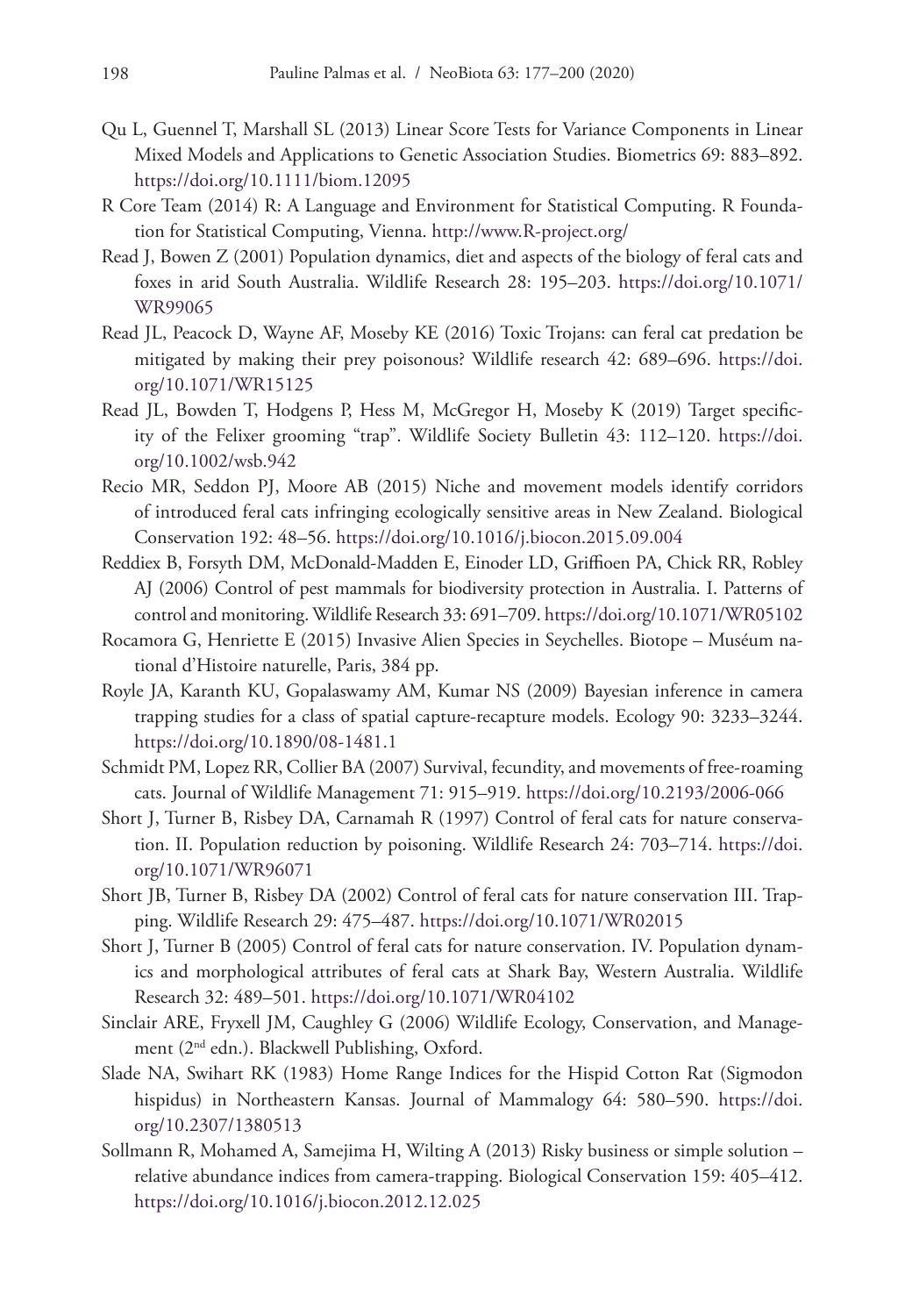- Qu L, Guennel T, Marshall SL (2013) Linear Score Tests for Variance Components in Linear Mixed Models and Applications to Genetic Association Studies. Biometrics 69: 883–892. <https://doi.org/10.1111/biom.12095>
- R Core Team (2014) R: A Language and Environment for Statistical Computing. R Foundation for Statistical Computing, Vienna.<http://www.R-project.org/>
- Read J, Bowen Z (2001) Population dynamics, diet and aspects of the biology of feral cats and foxes in arid South Australia. Wildlife Research 28: 195–203. [https://doi.org/10.1071/](https://doi.org/10.1071/WR99065) [WR99065](https://doi.org/10.1071/WR99065)
- Read JL, Peacock D, Wayne AF, Moseby KE (2016) Toxic Trojans: can feral cat predation be mitigated by making their prey poisonous? Wildlife research 42: 689–696. [https://doi.](https://doi.org/10.1071/WR15125) [org/10.1071/WR15125](https://doi.org/10.1071/WR15125)
- Read JL, Bowden T, Hodgens P, Hess M, McGregor H, Moseby K (2019) Target specificity of the Felixer grooming "trap". Wildlife Society Bulletin 43: 112–120. [https://doi.](https://doi.org/10.1002/wsb.942) [org/10.1002/wsb.942](https://doi.org/10.1002/wsb.942)
- Recio MR, Seddon PJ, Moore AB (2015) Niche and movement models identify corridors of introduced feral cats infringing ecologically sensitive areas in New Zealand. Biological Conservation 192: 48–56. <https://doi.org/10.1016/j.biocon.2015.09.004>
- Reddiex B, Forsyth DM, McDonald-Madden E, Einoder LD, Griffioen PA, Chick RR, Robley AJ (2006) Control of pest mammals for biodiversity protection in Australia. I. Patterns of control and monitoring. Wildlife Research 33: 691–709.<https://doi.org/10.1071/WR05102>
- Rocamora G, Henriette E (2015) Invasive Alien Species in Seychelles. Biotope Muséum national d'Histoire naturelle, Paris, 384 pp.
- Royle JA, Karanth KU, Gopalaswamy AM, Kumar NS (2009) Bayesian inference in camera trapping studies for a class of spatial capture-recapture models. Ecology 90: 3233–3244. <https://doi.org/10.1890/08-1481.1>
- Schmidt PM, Lopez RR, Collier BA (2007) Survival, fecundity, and movements of free-roaming cats. Journal of Wildlife Management 71: 915–919.<https://doi.org/10.2193/2006-066>
- Short J, Turner B, Risbey DA, Carnamah R (1997) Control of feral cats for nature conservation. II. Population reduction by poisoning. Wildlife Research 24: 703–714. [https://doi.](https://doi.org/10.1071/WR96071) [org/10.1071/WR96071](https://doi.org/10.1071/WR96071)
- Short JB, Turner B, Risbey DA (2002) Control of feral cats for nature conservation III. Trapping. Wildlife Research 29: 475–487.<https://doi.org/10.1071/WR02015>
- Short J, Turner B (2005) Control of feral cats for nature conservation. IV. Population dynamics and morphological attributes of feral cats at Shark Bay, Western Australia. Wildlife Research 32: 489–501. <https://doi.org/10.1071/WR04102>
- Sinclair ARE, Fryxell JM, Caughley G (2006) Wildlife Ecology, Conservation, and Management (2nd edn.). Blackwell Publishing, Oxford.
- Slade NA, Swihart RK (1983) Home Range Indices for the Hispid Cotton Rat (Sigmodon hispidus) in Northeastern Kansas. Journal of Mammalogy 64: 580–590. [https://doi.](https://doi.org/10.2307/1380513) [org/10.2307/1380513](https://doi.org/10.2307/1380513)
- Sollmann R, Mohamed A, Samejima H, Wilting A (2013) Risky business or simple solution relative abundance indices from camera-trapping. Biological Conservation 159: 405–412. <https://doi.org/10.1016/j.biocon.2012.12.025>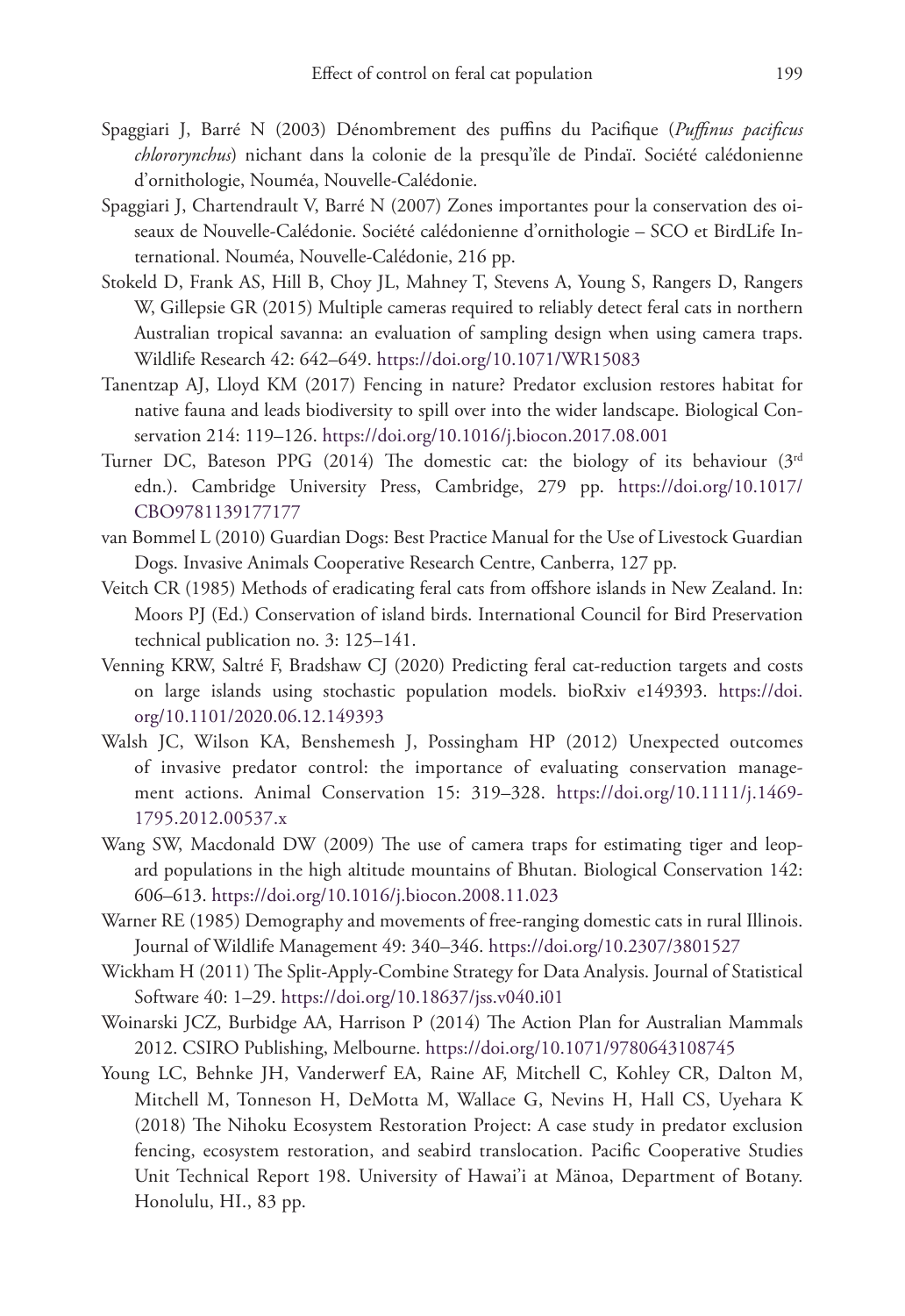- Spaggiari J, Barré N (2003) Dénombrement des puffins du Pacifique (*Puffinus pacificus chlororynchus*) nichant dans la colonie de la presqu'île de Pindaï. Société calédonienne d'ornithologie, Nouméa, Nouvelle-Calédonie.
- Spaggiari J, Chartendrault V, Barré N (2007) Zones importantes pour la conservation des oiseaux de Nouvelle-Calédonie. Société calédonienne d'ornithologie – SCO et BirdLife International. Nouméa, Nouvelle-Calédonie, 216 pp.
- Stokeld D, Frank AS, Hill B, Choy JL, Mahney T, Stevens A, Young S, Rangers D, Rangers W, Gillepsie GR (2015) Multiple cameras required to reliably detect feral cats in northern Australian tropical savanna: an evaluation of sampling design when using camera traps. Wildlife Research 42: 642–649. <https://doi.org/10.1071/WR15083>
- Tanentzap AJ, Lloyd KM (2017) Fencing in nature? Predator exclusion restores habitat for native fauna and leads biodiversity to spill over into the wider landscape. Biological Conservation 214: 119–126. <https://doi.org/10.1016/j.biocon.2017.08.001>
- Turner DC, Bateson PPG (2014) The domestic cat: the biology of its behaviour  $(3^{rd}$ edn.). Cambridge University Press, Cambridge, 279 pp. [https://doi.org/10.1017/](https://doi.org/10.1017/CBO9781139177177) [CBO9781139177177](https://doi.org/10.1017/CBO9781139177177)
- van Bommel L (2010) Guardian Dogs: Best Practice Manual for the Use of Livestock Guardian Dogs. Invasive Animals Cooperative Research Centre, Canberra, 127 pp.
- Veitch CR (1985) Methods of eradicating feral cats from offshore islands in New Zealand. In: Moors PJ (Ed.) Conservation of island birds. International Council for Bird Preservation technical publication no. 3: 125–141.
- Venning KRW, Saltré F, Bradshaw CJ (2020) Predicting feral cat-reduction targets and costs on large islands using stochastic population models. bioRxiv e149393. [https://doi.](https://doi.org/10.1101/2020.06.12.149393) [org/10.1101/2020.06.12.149393](https://doi.org/10.1101/2020.06.12.149393)
- Walsh JC, Wilson KA, Benshemesh J, Possingham HP (2012) Unexpected outcomes of invasive predator control: the importance of evaluating conservation management actions. Animal Conservation 15: 319–328. [https://doi.org/10.1111/j.1469-](https://doi.org/10.1111/j.1469-1795.2012.00537.x) [1795.2012.00537.x](https://doi.org/10.1111/j.1469-1795.2012.00537.x)
- Wang SW, Macdonald DW (2009) The use of camera traps for estimating tiger and leopard populations in the high altitude mountains of Bhutan. Biological Conservation 142: 606–613.<https://doi.org/10.1016/j.biocon.2008.11.023>
- Warner RE (1985) Demography and movements of free-ranging domestic cats in rural Illinois. Journal of Wildlife Management 49: 340–346. <https://doi.org/10.2307/3801527>
- Wickham H (2011) The Split-Apply-Combine Strategy for Data Analysis. Journal of Statistical Software 40: 1–29.<https://doi.org/10.18637/jss.v040.i01>
- Woinarski JCZ, Burbidge AA, Harrison P (2014) The Action Plan for Australian Mammals 2012. CSIRO Publishing, Melbourne.<https://doi.org/10.1071/9780643108745>
- Young LC, Behnke JH, Vanderwerf EA, Raine AF, Mitchell C, Kohley CR, Dalton M, Mitchell M, Tonneson H, DeMotta M, Wallace G, Nevins H, Hall CS, Uyehara K (2018) The Nihoku Ecosystem Restoration Project: A case study in predator exclusion fencing, ecosystem restoration, and seabird translocation. Pacific Cooperative Studies Unit Technical Report 198. University of Hawai'i at Mänoa, Department of Botany. Honolulu, HI., 83 pp.